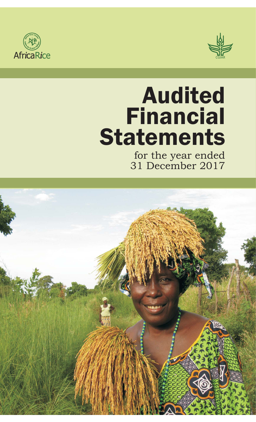



# Audited Financial **Statements**

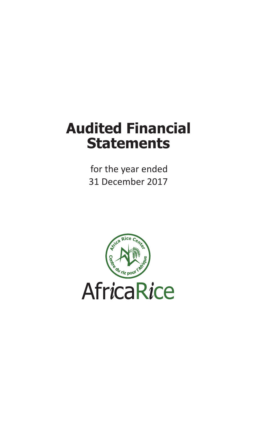# **Audited Financial Statements**

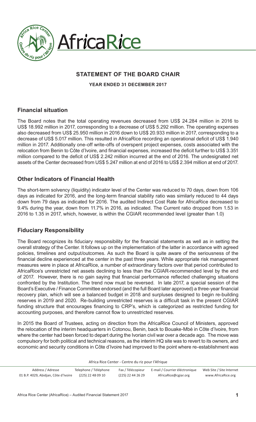



# **STATEMENT OF THE BOARD CHAIR**

**YEAR ENDED 31 DECEMBER 2017**

# **Financial situation**

The Board notes that the total operating revenues decreased from US\$ 24.284 million in 2016 to US\$ 18.992 million in 2017, corresponding to a decrease of US\$ 5.292 million. The operating expenses also decreased from US\$ 25.950 million in 2016 down to US\$ 20.933 million in 2017, corresponding to a decrease of US\$ 5.017 million. This resulted in AfricaRice recording an operational deficit of US\$ 1.940 million in 2017. Additionally one-off write-offs of overspent project expenses, costs associated with the relocation from Benin to Côte d'Ivoire, and financial expenses, increased the deficit further to US\$ 3.351 million compared to the deficit of US\$ 2.242 million incurred at the end of 2016. The undesignated net assets of the Center decreased from US\$ 5.247 million at end of 2016 to US\$ 2.394 million at end of 2017.

# **Other Indicators of Financial Health**

The short-term solvency (liquidity) indicator level of the Center was reduced to 70 days, down from 106 days as indicated for 2016, and the long-term financial stability ratio was similarly reduced to 44 days down from 79 days as indicated for 2016. The audited Indirect Cost Rate for AfricaRice decreased to 9.4% during the year, down from 11.7% in 2016, as indicated. The Current ratio dropped from 1.53 in 2016 to 1.35 in 2017, which, however, is within the CGIAR recommended level (greater than 1.0)

# **Fiduciary Responsibility**

The Board recognizes its fiduciary responsibility for the financial statements as well as in setting the overall strategy of the Center. It follows up on the implementation of the latter in accordance with agreed policies, timelines and output/outcomes. As such the Board is quite aware of the seriousness of the financial decline experienced at the center in the past three years. While appropriate risk management measures were in place at AfricaRice, a number of extraordinary factors over that period contributed to AfricaRice's unrestricted net assets declining to less than the CGIAR-recommended level by the end of 2017. However, there is no gain saying that financial performance reflected challenging situations confronted by the Institution. The trend now must be reversed. In late 2017, a special session of the Board's Executive / Finance Committee endorsed (and the full Board later approved) a three-year financial recovery plan, which will see a balanced budget in 2018 and surpluses designed to begin re-building reserves in 2019 and 2020. Re-building unrestricted reserves is a difficult task in the present CGIAR funding structure that encourages financing to CRP's, which is categorized as restricted funding for accounting purposes, and therefore cannot flow to unrestricted reserves.

In 2015 the Board of Trustees, acting on direction from the AfricaRice Council of Ministers, approved the relocation of the interim headquarters in Cotonou, Benin, back to Bouake-Mbé in Côte d'Ivoire, from where the center had been forced to depart during the Ivorian civil war over a decade ago. The move was compulsory for both political and technical reasons, as the interim HQ site was to revert to its owners, and economic and security conditions in Côte d'Ivoire had improved to the point where re-establishment was

| Address / Adresse                    | Telephone / Téléphone | Fax / Télécopieur | E-mail / Courrier éléctronique | Web Site / Site Internet |
|--------------------------------------|-----------------------|-------------------|--------------------------------|--------------------------|
| 01 B.P. 4029, Abidjan, Côte d'Ivoire | (225) 22 48 09 10     | (225) 22 44 26 29 | AfricaRice@cgiar.org           | www.AfricaRice.org       |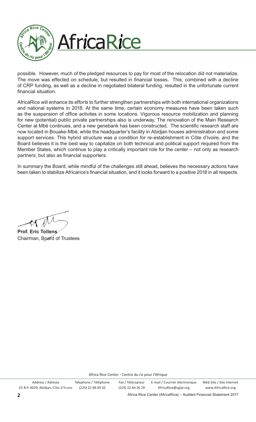

possible. However, much of the pledged resources to pay for most of the relocation did not materialize. The move was effected on schedule, but resulted in financial losses. This, combined with a decline of CRP funding, as well as a decline in negotiated bilateral funding, resulted in the unfortunate current financial situation.

AfricaRice will enhance its efforts to further strengthen partnerships with both international organizations and national systems in 2018. At the same time, certain economy measures have been taken such as the suspension of office activites in some locations. Vigorous resource mobilization and planning for new (potential) public private partnerships also is underway. The renovation of the Main Research Center at Mbé continues, and a new genebank has been constructed. The scientific research staff are now located in Bouake-Mbé, while the headquarter's facility in Abidjan houses administration and some support services. This hybrid structure was a condition for re-establishment in Côte d'Ivoire, and the Board believes it is the best way to capitalize on both technical and political support required from the Member States, which continue to play a critically important role for the center – not only as research partners, but also as financial supporters.

In summary the Board, while mindful of the challenges still ahead, believes the necessary actions have been taken to stabilize Africarice's financial situation, and it looks forward to a positive 2018 in all respects.

**Prof. Eric Tollens**  Chairman, Board of Trustees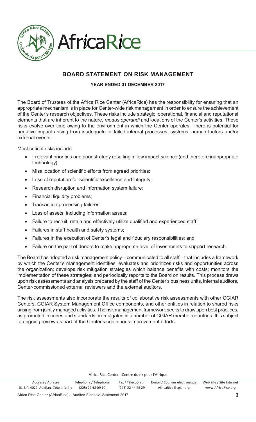

# **AfricaRice**

# **BOARD STATEMENT ON RISK MANAGEMENT**

# **YEAR ENDED 31 DECEMBER 2017**

The Board of Trustees of the Africa Rice Center (AfricaRice) has the responsibility for ensuring that an appropriate mechanism is in place for Center-wide risk management in order to ensure the achievement of the Center's research objectives. These risks include strategic, operational, financial and reputational elements that are inherent to the nature, *modus operandi* and locations of the Center's activities. These risks evolve over time owing to the environment in which the Center operates. There is potential for negative impact arising from inadequate or failed internal processes, systems, human factors and/or external events.

Most critical risks include:

- Irrelevant priorities and poor strategy resulting in low impact science (and therefore inappropriate technology);
- $\bullet$ Misallocation of scientific efforts from agreed priorities;
- $\bullet$ Loss of reputation for scientific excellence and integrity;
- $\bullet$ Research disruption and information system failure;
- $\bullet$ Financial liquidity problems;
- $\bullet$ Transaction processing failures;
- -Loss of assets, including information assets;
- $\bullet$ Failure to recruit, retain and effectively utilize qualified and experienced staff;
- $\bullet$ Failures in staff health and safety systems;
- $\bullet$ Failures in the execution of Center's legal and fiduciary responsibilities; and
- $\bullet$ Failure on the part of donors to make appropriate level of investments to support research.

The Board has adopted a risk management policy – communicated to all staff – that includes a framework by which the Center's management identifies, evaluates and prioritizes risks and opportunities across the organization; develops risk mitigation strategies which balance benefits with costs; monitors the implementation of these strategies; and periodically reports to the Board on results. This process draws upon risk assessments and analysis prepared by the staff of the Center's business units, internal auditors, Center-commissioned external reviewers and the external auditors.

The risk assessments also incorporate the results of collaborative risk assessments with other CGIAR Centers, CGIAR System Management Office components, and other entities in relation to shared risks arising from jointly managed activities. The risk management framework seeks to draw upon best practices, as promoted in codes and standards promulgated in a number of CGIAR member countries. It is subject to ongoing review as part of the Center's continuous improvement efforts.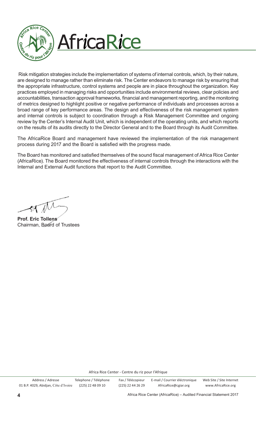

Risk mitigation strategies include the implementation of systems of internal controls, which, by their nature, are designed to manage rather than eliminate risk. The Center endeavors to manage risk by ensuring that the appropriate infrastructure, control systems and people are in place throughout the organization. Key practices employed in managing risks and opportunities include environmental reviews, clear policies and accountabilities, transaction approval frameworks, financial and management reporting, and the monitoring of metrics designed to highlight positive or negative performance of individuals and processes across a broad range of key performance areas. The design and effectiveness of the risk management system and internal controls is subject to coordination through a Risk Management Committee and ongoing review by the Center's Internal Audit Unit, which is independent of the operating units, and which reports on the results of its audits directly to the Director General and to the Board through its Audit Committee.

The AfricaRice Board and management have reviewed the implementation of the risk management process during 2017 and the Board is satisfied with the progress made.

The Board has monitored and satisfied themselves of the sound fiscal management of Africa Rice Center (AfricaRice). The Board monitored the effectiveness of internal controls through the interactions with the Internal and External Audit functions that report to the Audit Committee.

**Prof. Eric Tollens**  Chairman, Board of Trustees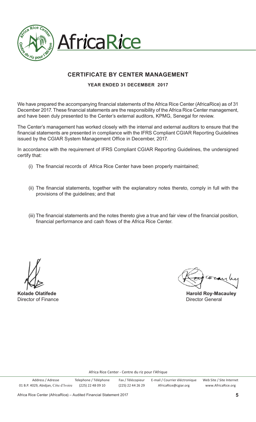

# **AfricaRice**

# **CERTIFICATE BY CENTER MANAGEMENT**

# **YEAR ENDED 31 DECEMBER 2017**

We have prepared the accompanying financial statements of the Africa Rice Center (AfricaRice) as of 31 December 2017. These financial statements are the responsibility of the Africa Rice Center management, and have been duly presented to the Center's external auditors, KPMG, Senegal for review.

The Center's management has worked closely with the internal and external auditors to ensure that the financial statements are presented in compliance with the IFRS Compliant CGIAR Reporting Guidelines issued by the CGIAR System Management Office in December, 2017.

In accordance with the requirement of IFRS Compliant CGIAR Reporting Guidelines, the undersigned certify that:

- (i) The financial records of Africa Rice Center have been properly maintained;
- (ii) The financial statements, together with the explanatory notes thereto, comply in full with the provisions of the guidelines; and that
- (iii) The financial statements and the notes thereto give a true and fair view of the financial position, financial performance and cash flows of the Africa Rice Center.

**Director of Finance Contracts Contracts and Director General Contracts Contracts Contracts Contracts Contracts Contracts Contracts Contracts Contracts Contracts Contracts Contracts Contracts Contracts Contracts Contracts** 

**Kolade Olatifede Harold Roy-Macauley**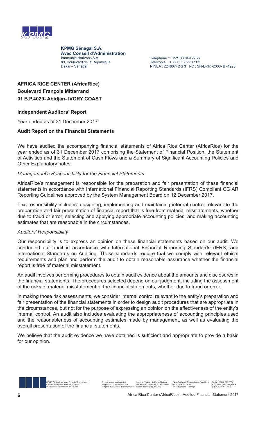

**KPMG Sénégal S.A. Avec Conseil d'Administration** Immeuble Horizons S.A. 83, Boulevard de la République Dakar - Sénégal

Téléphone : + 221 33 849 27 27 Télécopie : + 221 33 822 17 02 NINEA : 22486742 S 3 RC : SN-DKR-2003- B-4225

# **AFRICA RICE CENTER (AfricaRice) Boulevard François Mitterrand 01 B.P.4029- Abidjan- IVORY COAST**

# **Independent Auditors' Report**

Year ended as of 31 December 2017

# **Audit Report on the Financial Statements**

We have audited the accompanying financial statements of Africa Rice Center (AfricaRice) for the year ended as of 31 December 2017 comprising the Statement of Financial Position, the Statement of Activities and the Statement of Cash Flows and a Summary of Significant Accounting Policies and Other Explanatory notes.

# *Management's Responsibility for the Financial Statements*

AfricaRice's management is responsible for the preparation and fair presentation of these financial statements in accordance with International Financial Reporting Standards (IFRS) Compliant CGIAR Reporting Guidelines approved by the System Management Board on 12 December 2017.

This responsibility includes: designing, implementing and maintaining internal control relevant to the preparation and fair presentation of financial report that is free from material misstatements, whether due to fraud or error; selecting and applying appropriate accounting policies; and making accounting estimates that are reasonable in the circumstances.

# *Auditors' Responsibility*

Our responsibility is to express an opinion on these financial statements based on our audit. We conducted our audit in accordance with International Financial Reporting Standards (IFRS) and International Standards on Auditing. Those standards require that we comply with relevant ethical requirements and plan and perform the audit to obtain reasonable assurance whether the financial report is free of material misstatement.

An audit involves performing procedures to obtain audit evidence about the amounts and disclosures in the financial statements. The procedures selected depend on our judgment, including the assessment of the risks of material misstatement of the financial statements, whether due to fraud or error.

In making those risk assessments, we consider internal control relevant to the entity's preparation and fair presentation of the financial statements in order to design audit procedures that are appropriate in the circumstances, but not for the purpose of expressing an opinion on the effectiveness of the entity's internal control. An audit also includes evaluating the appropriateness of accounting principles used and the reasonableness of accounting estimates made by management, as well as evaluating the overall presentation of the financial statements.

We believe that the audit evidence we have obtained is sufficient and appropriate to provide a basis for our opinion.

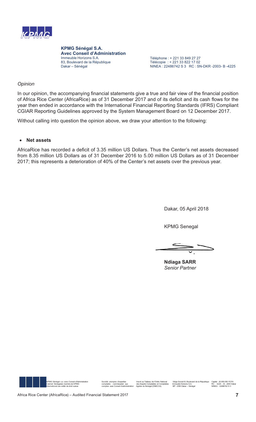

**KPMG Sénégal S.A. Avec Conseil d'Administration** Immeuble Horizons S.A. 83, Boulevard de la République Dakar - Sénégal

Téléphone : + 221 33 849 27 27 Télécopie : + 221 33 822 17 02 NINEA : 22486742 S 3 RC : SN-DKR-2003- B-4225

# *Opinion*

In our opinion, the accompanying financial statements give a true and fair view of the financial position of Africa Rice Center (AfricaRice) as of 31 December 2017 and of its deficit and its cash flows for the year then ended in accordance with the International Financial Reporting Standards (IFRS) Compliant CGIAR Reporting Guidelines approved by the System Management Board on 12 December 2017.

Without calling into question the opinion above, we draw your attention to the following:

## -**Net assets**

AfricaRice has recorded a deficit of 3.35 million US Dollars. Thus the Center's net assets decreased from 8.35 million US Dollars as of 31 December 2016 to 5.00 million US Dollars as of 31 December 2017; this represents a deterioration of 40% of the Center's net assets over the previous year.

Dakar, 05 April 2018

**KPMG Senegal** 

**Ndiaga SARR** *Senior Partner*



.30\*6pQpJDO VDDYHF&RQVHLOG¶\$GPLQLVWUDWLRQ 6RFLpWp DQRQ\PH G¶H[SHUWLVH ,QVFULWDX7DEOHDXGHO¶2UGUH1DWLRQDO 6LqJH6RFLDO%RXOHYDUGGHOD5pSXEOLTXH&DSLWDO)&)\$ Cabinet Sénégalais membre de KPMG of tormissariat aux des Experts Complables el Complables immeuble+forizons S.A. Parameun Hotel and the reza B - 2025 - B - 2026 - B - 2026 - B - 2026 - B - 2026 - B - 2026 - B - 2026 - B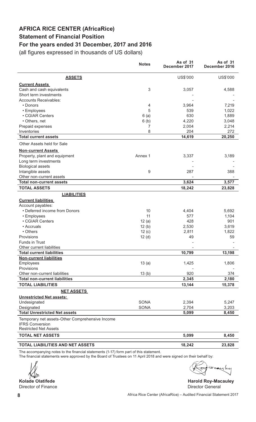# **AFRICA RICE CENTER (AfricaRice) Statement of Financial Position For the years ended 31 December, 2017 and 2016**

(all figures expressed in thousands of US dollars)

|                                                                           | <b>Notes</b> | As of 31<br>December 2017 | As of 31<br>December 2016 |
|---------------------------------------------------------------------------|--------------|---------------------------|---------------------------|
| <b>ASSETS</b>                                                             |              | US\$'000                  | US\$'000                  |
| <b>Current Assets</b>                                                     |              |                           |                           |
| Cash and cash equivalents                                                 | $\sqrt{3}$   | 3,057                     | 4,588                     |
| Short term investments                                                    |              |                           |                           |
| <b>Accounts Receivables:</b>                                              |              |                           |                           |
| • Donors                                                                  | 4            | 3,964                     | 7,219                     |
| • Employees                                                               | 5            | 539                       | 1,022                     |
| • CGIAR Centers                                                           | 6(a)         | 630                       | 1,889                     |
| • Others, net                                                             | 6(b)         | 4,220                     | 3,048                     |
| Prepaid expenses                                                          | 7            | 2,004                     | 2,214                     |
| Inventories                                                               | 8            | 204                       | 272                       |
| <b>Total current assets</b>                                               |              | 14,619                    | 20,250                    |
| Other Assets held for Sale                                                |              |                           |                           |
| <b>Non-current Assets</b>                                                 |              |                           |                           |
| Property, plant and equipment                                             | Annex 1      | 3,337                     | 3,189                     |
| Long term investments                                                     |              |                           |                           |
| <b>Biological assets</b>                                                  |              |                           |                           |
| Intangible assets                                                         | 9            | 287                       | 388                       |
| Other non-current assets                                                  |              |                           |                           |
| <b>Total non-current assets</b>                                           |              | 3,624                     | 3,577                     |
| <b>TOTAL ASSETS</b>                                                       |              | 18,242                    | 23,828                    |
| <b>LIABILITIES</b>                                                        |              |                           |                           |
| <b>Current liabilities</b>                                                |              |                           |                           |
| Account payables:                                                         |              |                           |                           |
| • Deferred income from Donors                                             | 10           | 4,404                     | 5,692                     |
| • Employees                                                               | 11           | 577                       | 1,104                     |
| • CGIAR Centers                                                           | 12(a)        | 428                       | 901                       |
| • Accruals                                                                | 12(b)        | 2,530                     | 3,619                     |
| • Others                                                                  | 12(c)        | 2,811                     | 1,822                     |
| Provisions                                                                | 12(d)        | 49                        | 59                        |
| <b>Funds in Trust</b>                                                     |              |                           |                           |
| Other current liabilities                                                 |              |                           |                           |
| <b>Total current liabilities</b>                                          |              | 10,799                    | 13,198                    |
| <b>Non-current liabilities</b>                                            |              |                           |                           |
| Employees                                                                 | 13(a)        | 1,425                     | 1,806                     |
| Provisions                                                                |              |                           |                           |
| Other non-current liabilities                                             | 13(b)        | 920                       | 374                       |
| <b>Total non-current liabilities</b>                                      |              | 2,345                     | 2,180                     |
| <b>TOTAL LIABILITIES</b>                                                  |              | 13,144                    | 15,378                    |
| <b>NET ASSETS</b>                                                         |              |                           |                           |
| <b>Unrestricted Net assets:</b>                                           |              |                           |                           |
| Undesignated                                                              | <b>SONA</b>  | 2,394                     | 5,247                     |
| Designated                                                                | <b>SONA</b>  | 2,704                     | 3,203                     |
| <b>Total Unrestricted Net assets</b>                                      |              | 5,099                     | 8,450                     |
| Temporary net assets-Other Comprehensive Income<br><b>IFRS Conversion</b> |              |                           |                           |
| <b>Restricted Net Assets</b>                                              |              |                           |                           |
| <b>TOTAL NET ASSETS</b>                                                   |              | 5,099                     | 8,450                     |
| TOTAL LIABILITIES AND NET ASSETS                                          |              | 18,242                    | 23,828                    |

The accompanying notes to the financial statements (1-17) form part of this statement.

The financial statements were approved by the Board of Trustees on 11 April 2018 and were signed on their behalf by:

Director of Finance

aray

**Kolade Olatifede And Construction Construction Construction Construction Construction Construction Construction Construction Construction Construction Construction Construction Construction Construction Construction Const**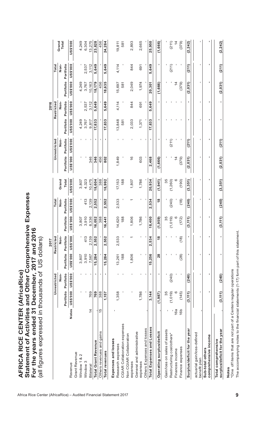|                                                     |                |                        |                |           | 2017                     |                              |                            |                 |                 |                 |                 | 2016            |                 |                 |                 |
|-----------------------------------------------------|----------------|------------------------|----------------|-----------|--------------------------|------------------------------|----------------------------|-----------------|-----------------|-----------------|-----------------|-----------------|-----------------|-----------------|-----------------|
|                                                     |                |                        | Unrestricted   |           | Restricted               |                              | Total                      |                 |                 | Unrestricted    |                 | Restricted      |                 | <b>Total</b>    |                 |
|                                                     |                |                        | no<br>No       |           | Non-                     |                              | Non-                       | Grand           |                 | Non-            |                 | don-            |                 | Non-            | Grand<br>Total  |
|                                                     |                | Portfolio              | Portfolio      | Portfolio | Portfolio                | Portfolio                    | Portfolio                  | Total           | Portfolio       | Portfolio       | Portfolio       | Portfolio       | Portfolio       | Portfolio       |                 |
| Revenue                                             |                | Notes US\$20 000'\$200 |                | 000.\$SN  | <b>DS\$200</b>           | <b>DO0.\$SN</b>              | <b>000.\$SN</b>            | <b>DO0.\$SN</b> | <b>000.\$SN</b> | <b>DO0.\$SN</b> | <b>000.\$SN</b> | <b>DO0.\$SN</b> | <b>000.\$SN</b> | <b>000.\$SN</b> | <b>US\$'000</b> |
| Grant Revenue                                       |                |                        |                |           |                          |                              |                            |                 |                 |                 |                 |                 |                 |                 |                 |
| N<br>Window 1 &                                     |                |                        |                | 3,807     |                          | 3,807                        |                            | 3,807           |                 | ٠               | 4,249           |                 | 4,249           |                 | 4,249           |
| Window 3                                            |                |                        |                | 3,910     | 413                      | 3,910                        | 413                        | 4,323           |                 | $\mathbf{I}$    | 3,767           | 2,537           | 3,767           | 2,537           | 6,304           |
| Bilateral                                           | $\overline{4}$ | 769                    | $\mathbf{I}$   | 7,567     | 2,139                    | 8,336                        | 2,139                      | 10,475          | 346             | $\mathbf{I}$    | 9,817           | 3,112           | 10,163          | 3,112           | 13,275          |
| <b>Total Grant Revenue</b>                          |                | 769                    | $\blacksquare$ | 15,284    | 2,552                    | 052<br>16,                   | 2,552                      | 18,604          | 346             | л.              | 17,833          | 5,649           | 18,179          | 5,649           | 23,828          |
| Others revenues and gains                           | 15             | 388                    |                |           |                          | 388                          |                            | 388             | 456             | ٠               |                 |                 | 456             |                 | 456             |
| Total revenues                                      |                | 1,157                  | J.             | 15,284    | 2,552                    | 44<br>16,                    | 2,552                      | 18,992          | 802             | ٠               | 17,833          | 5,649           | 18,635          | 5,649           | 24,284          |
| Expenses and losses                                 |                |                        |                |           |                          |                              |                            |                 |                 |                 |                 |                 |                 |                 |                 |
| Research expenses                                   |                | 1,358                  |                | 13,261    | 2,533                    | 14,620                       | 2,533                      | 17,153          | 1,849           |                 | 13,848          | 4,114           | 15,697          | 4,114           | 19,811          |
| CGIAR Collaboration expenses                        |                |                        |                | 188       |                          | 188                          |                            | 188             |                 | п               | 581             |                 | 581             |                 | 581             |
| Non CGIAR Collaboration                             |                |                        |                |           |                          |                              |                            |                 |                 |                 |                 |                 |                 |                 |                 |
| expenses                                            |                |                        |                | 1,806     |                          | 1,806                        |                            | 1,807           | $\frac{6}{1}$   |                 | 2,033           | 844             | 2,049           | 844             | 2,893           |
| General and administrative                          |                | 1,786                  |                |           |                          | 1,786                        |                            | 1,786           | 603             |                 | 1,371           | 691             |                 | 691             | 2,665           |
| Others Expenses and losses<br>expenses              |                |                        | $\mathbf I$    |           | 1                        |                              |                            |                 |                 | л.<br>л.        |                 |                 | 1,974           |                 |                 |
|                                                     |                |                        |                |           |                          |                              | 1                          |                 |                 |                 |                 |                 |                 |                 |                 |
| Total Expenses and Losses                           |                | 3,144                  | ×              | 15,256    | 2,534                    | 400<br>$\frac{8}{1}$         | ,534<br>$\dot{\mathsf{N}}$ | 20,934          | 2,468           | ٠               | 17,833          | 5,649           | 20,301          | 5,649           | 25,950          |
| Operating surplus/deficit                           |                | (1, 987)               | ٠              | 28        | $\frac{8}{2}$            | 59)<br>$\frac{9}{1}$         | $\frac{8}{2}$              | (1,941)         | (1,666)         | ٠               | ٠               | ٠               | (1,666)         | ٠               | (1,666)         |
| Gain/loss on sales of assets                        |                | 35                     |                |           |                          | 35                           |                            | 35              |                 |                 |                 |                 |                 |                 |                 |
| Restructuring cost/others*                          |                | (1,019)                | (240)          |           | $\overline{\phantom{a}}$ | (1,019)                      | (240)                      | (1,260)         |                 | (211)           |                 |                 |                 | (211)           | (211)           |
| Finances income                                     | 16a            |                        |                |           |                          | $\circ$                      |                            |                 | $\overline{4}$  |                 |                 | $\mathbf{I}$    | $\overline{4}$  |                 | $\overline{4}$  |
| Finance expenses                                    | 16b            | (145)                  |                | (28)      | (18)                     | 72)<br>运                     | (18)                       | (190)           | (379)           | J,              | $\blacksquare$  | $\mathbf{I}$    | (379)           |                 | (379)           |
| Surplus/deficit for the year                        |                | (3, 111)               | (240)          | ٠         | ٠                        | 111)<br><u>ં</u>             | (240)                      | (3, 351)        | (2,031)         | (211)           | ٠               | ٠               | (2, 031)        | (211)           | (2, 242)        |
| actuarial gain/loss-defined<br>benefit plan         |                | п                      |                |           | п                        | ٠                            | 1                          | ٠               | ٠               | $\mathbf{I}$    | $\blacksquare$  | 1               | 1               | I.              |                 |
| comprehensive income<br>Sub-total others            |                | ٠                      | ٠              | ٠         | ٠                        | ٠                            | ٠                          | ٠               | ٠               | ٠               | ٠               | ٠               | ٠               | ٠               |                 |
| surplus/deficit for the year<br>Total comprehensive |                | (3, 111)               | (240)          | ٠         | f,                       | 111)<br>$\ddot{\mathcal{S}}$ | (240)                      | (3, 351)        | (2, 031)        | (211)           | ٠               | f,              | (2,031)         | (211)           | (2, 242)        |

**Notes**<br>\*One off items that are not part of a Centers regular operations<br>The accompanying notes to the financial statements (1-17) form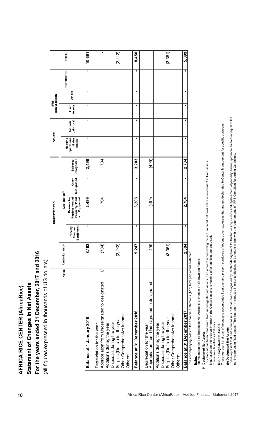| ٠<br>٠<br>$\mathbf{I}$<br><b>RESTRICTED</b><br>٠<br>٠<br>٠<br>Others<br>٠<br>٠<br>٠<br>Fixed<br>Assets<br>٠<br>٠<br>٠<br>gain(loss)<br>Actuarial<br>Gains<br>٠<br>٠<br>٠<br>Hedging<br>operations<br>(losses)<br>$\blacksquare$<br>T,<br>f,<br>2,499<br>Sub-total<br>Designated<br>704<br>3,203<br>(499)<br>٠<br>٠<br>Other<br>Designated<br>Designated <sup>(b)</sup><br>Property, Plant<br>Replacement of<br>and Equipment<br>2,499<br>704<br>(499)<br>Reserve for<br>3,203<br>٠<br>٠<br>Plant and<br>Equipment<br>Property,<br>Undesignated <sup>(a)</sup><br>8,193<br>(3,351)<br>(704)<br>499<br>5,247<br>(2, 242)<br>Notes<br>$\Rightarrow$<br>Appropriation from Undesignated to designated<br>Appropiration from Undesignated to designated<br>Balance at 31 December 2016<br>Other Comprehensive Income<br>Other Comprehensive Income<br>2016<br>Surplus (Deficit) for the year<br>Surplus (Deficit) for the year<br>Disposals during the year<br>Disposals during the year<br>Additions during the year<br>Depreciation for the year<br>Depreciation for the year<br>Additions during the year<br>Balance at 1 January<br>Others*<br>Others* |                                                                                                                                                                                                                                                                                                                                                                                                                                                                 | UNRESTRICTED                                              |            | <b>OTHER</b> | CONVERSION<br><b>IFRS</b> |  |              |
|-------------------------------------------------------------------------------------------------------------------------------------------------------------------------------------------------------------------------------------------------------------------------------------------------------------------------------------------------------------------------------------------------------------------------------------------------------------------------------------------------------------------------------------------------------------------------------------------------------------------------------------------------------------------------------------------------------------------------------------------------------------------------------------------------------------------------------------------------------------------------------------------------------------------------------------------------------------------------------------------------------------------------------------------------------------------------------------------------------------------------------------------------------|-----------------------------------------------------------------------------------------------------------------------------------------------------------------------------------------------------------------------------------------------------------------------------------------------------------------------------------------------------------------------------------------------------------------------------------------------------------------|-----------------------------------------------------------|------------|--------------|---------------------------|--|--------------|
|                                                                                                                                                                                                                                                                                                                                                                                                                                                                                                                                                                                                                                                                                                                                                                                                                                                                                                                                                                                                                                                                                                                                                       |                                                                                                                                                                                                                                                                                                                                                                                                                                                                 |                                                           |            |              |                           |  | <b>TOTAL</b> |
|                                                                                                                                                                                                                                                                                                                                                                                                                                                                                                                                                                                                                                                                                                                                                                                                                                                                                                                                                                                                                                                                                                                                                       |                                                                                                                                                                                                                                                                                                                                                                                                                                                                 |                                                           |            |              |                           |  |              |
|                                                                                                                                                                                                                                                                                                                                                                                                                                                                                                                                                                                                                                                                                                                                                                                                                                                                                                                                                                                                                                                                                                                                                       |                                                                                                                                                                                                                                                                                                                                                                                                                                                                 |                                                           |            |              |                           |  | 10,691       |
|                                                                                                                                                                                                                                                                                                                                                                                                                                                                                                                                                                                                                                                                                                                                                                                                                                                                                                                                                                                                                                                                                                                                                       |                                                                                                                                                                                                                                                                                                                                                                                                                                                                 |                                                           |            |              |                           |  |              |
|                                                                                                                                                                                                                                                                                                                                                                                                                                                                                                                                                                                                                                                                                                                                                                                                                                                                                                                                                                                                                                                                                                                                                       |                                                                                                                                                                                                                                                                                                                                                                                                                                                                 |                                                           |            |              |                           |  | (2,242)      |
|                                                                                                                                                                                                                                                                                                                                                                                                                                                                                                                                                                                                                                                                                                                                                                                                                                                                                                                                                                                                                                                                                                                                                       |                                                                                                                                                                                                                                                                                                                                                                                                                                                                 |                                                           |            |              |                           |  | 8,450        |
|                                                                                                                                                                                                                                                                                                                                                                                                                                                                                                                                                                                                                                                                                                                                                                                                                                                                                                                                                                                                                                                                                                                                                       |                                                                                                                                                                                                                                                                                                                                                                                                                                                                 |                                                           |            |              |                           |  |              |
|                                                                                                                                                                                                                                                                                                                                                                                                                                                                                                                                                                                                                                                                                                                                                                                                                                                                                                                                                                                                                                                                                                                                                       |                                                                                                                                                                                                                                                                                                                                                                                                                                                                 |                                                           |            |              |                           |  | (3,351)      |
| The accompanying notes to the financial statements (1-17) form part of this statement.                                                                                                                                                                                                                                                                                                                                                                                                                                                                                                                                                                                                                                                                                                                                                                                                                                                                                                                                                                                                                                                                | 2,394<br>Balance at 31 December 2017                                                                                                                                                                                                                                                                                                                                                                                                                            | 2,704                                                     | 2,704<br>٠ |              |                           |  | 5,099        |
|                                                                                                                                                                                                                                                                                                                                                                                                                                                                                                                                                                                                                                                                                                                                                                                                                                                                                                                                                                                                                                                                                                                                                       | These represent that part of net assets accumulated from past and present surpluses of revenue over expenses that are not designated byCenter Management for specific purposes.<br>ਦ੍ਰ<br>This amount has been transferred from undesignated net assets in an amount representing the<br>Net Assets are the residual interest in the Center's assets remaining after liabilities are deducte<br>These are classified as follows:<br>(a) Undesignated Net Assets | accumulated net book value of investment in fixed assets. |            |              |                           |  |              |

# 1/ Designated Net Assets<br>This amount has been transf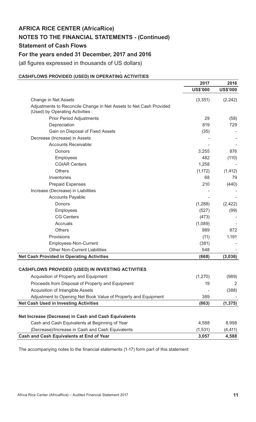# **NOTES TO THE FINANCIAL STATEMENTS - (Continued)**

**Statement of Cash Flows** 

# **For the years ended 31 December, 2017 and 2016**

(all figures expressed in thousands of US dollars)

## $\overline{a}$ **CASHFLOWS PROVIDED (USED) IN OPERATING ACTIVITIES**

|                                                                                                       | 2017            | 2016            |
|-------------------------------------------------------------------------------------------------------|-----------------|-----------------|
|                                                                                                       | <b>US\$'000</b> | <b>US\$'000</b> |
| <b>Change in Net Assets</b>                                                                           | (3, 351)        | (2, 242)        |
| Adjustments to Reconcile Change in Net Assets to Net Cash Provided<br>(Used) by Operating Activities: |                 |                 |
| <b>Prior Period Adjustments</b>                                                                       | 29              | (58)            |
| Depreciation                                                                                          | 819             | 729             |
| Gain on Disposal of Fixed Assets                                                                      | (35)            |                 |
| Decrease (Increase) in Assets                                                                         |                 |                 |
| Accounts Receivable:                                                                                  |                 |                 |
| Donors                                                                                                | 3,255           | 876             |
| Employees                                                                                             | 482             | (110)           |
| <b>CGIAR Centers</b>                                                                                  | 1,258           |                 |
| <b>Others</b>                                                                                         | (1, 172)        | (1, 412)        |
| Inventories                                                                                           | 68              | 79              |
| <b>Prepaid Expenses</b>                                                                               | 210             | (440)           |
| Increase (Decrease) in Liabilities                                                                    |                 |                 |
| Accounts Payable:                                                                                     |                 |                 |
| Donors                                                                                                | (1,288)         | (2, 422)        |
| Employees                                                                                             | (527)           | (99)            |
| <b>CG Centers</b>                                                                                     | (473)           |                 |
| Accruals                                                                                              | (1,089)         |                 |
| <b>Others</b>                                                                                         | 989             | 872             |
| Provisions                                                                                            | (11)            | 1,191           |
| Employees-Non-Current                                                                                 | (381)           |                 |
| <b>Other Non-Current Liabilities</b>                                                                  | 548             |                 |
| <b>Net Cash Provided in Operating Activities</b>                                                      | (668)           | (3,036)         |
|                                                                                                       |                 |                 |
| <b>CASHFLOWS PROVIDED (USED) IN INVESTING ACTIVITIES</b>                                              |                 |                 |
| Acquisition of Property and Equipment                                                                 | (1, 270)        | (989)           |
| Proceeds from Disposal of Property and Equipment                                                      | 19              | 2               |
| Acquisition of Intangible Assets                                                                      |                 | (388)           |
| Adjustment to Opening Net Book Value of Property and Equipment                                        | 389             |                 |
| <b>Net Cash Used in Investing Activities</b>                                                          | (863)           | (1, 375)        |
| Net Increase (Decrease) in Cash and Cash Equivalents                                                  |                 |                 |
| Cash and Cash Equivalents at Beginning of Year                                                        | 4,588           | 8,998           |
| (Decrease)/Increase in Cash and Cash Equivalents                                                      | (1, 531)        | (4, 411)        |
| Cash and Cash Equivalents at End of Year                                                              | 3,057           | 4,588           |

The accompanying notes to the financial statements (1-17) form part of this statement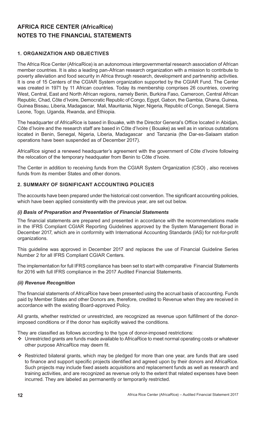# **1. ORGANIZATION AND OBJECTIVES**

The Africa Rice Center (AfricaRice) is an autonomous intergovernmental research association of African member countries. It is also a leading pan-African research organization with a mission to contribute to poverty alleviation and food security in Africa through research, development and partnership activities. It is one of 15 Centers of the CGIAR System organization supported by the CGIAR Fund. The Center was created in 1971 by 11 African countries. Today its membership comprises 26 countries, covering West, Central, East and North African regions, namely Benin, Burkina Faso, Cameroon, Central African Republic, Chad, Côte d'Ivoire, Democratic Republic of Congo, Egypt, Gabon, the Gambia, Ghana, Guinea, Guinea Bissau, Liberia, Madagascar, Mali, Mauritania, Niger, Nigeria, Republic of Congo, Senegal, Sierra Leone, Togo, Uganda, Rwanda, and Ethiopia.

The headquarter of AfricaRice is based in Bouake, with the Director General's Office located in Abidjan, Côte d'Ivoire and the research staff are based in Côte d'Ivoire ( Bouake) as well as in various outstations located in Benin, Senegal, Nigeria, Liberia, Madagascar and Tanzania (the Dar-es-Salaam station operations have been suspended as of December 2017).

AfricaRice signed a renewed headquarter's agreement with the government of Côte d'Ivoire following the relocation of the temporary headquater from Benin to Côte d'Ivoire.

The Center in addition to receiving funds from the CGIAR System Organization (CSO) , also receives funds from its member States and other donors.

# **2. SUMMARY OF SIGNIFICANT ACCOUNTING POLICIES**

The accounts have been prepared under the historical cost convention. The significant accounting policies, which have been applied consistently with the previous year, are set out below.

# *(i) Basis of Preparation and Presentation of Financial Statements*

The financial statements are prepared and presented in accordance with the recommendations made in the IFRS Compliant CGIAR Reporting Guidelines approved by the System Management Borad in December 2017, which are in conformity with International Accounting Standards (IAS) for not-for-profit organizations.

This guideline was approved in December 2017 and replaces the use of Financial Guideline Series Number 2 for all IFRS Compliant CGIAR Centers.

The implementation for full IFRS compliance has been set to start with comparative Financial Statements for 2016 with full IFRS compliance in the 2017 Audited Financial Statements.

# *(ii) Revenue Recognition*

The financial statements of AfricaRice have been presented using the accrual basis of accounting. Funds paid by Member States and other Donors are, therefore, credited to Revenue when they are received in accordance with the existing Board-approved Policy.

All grants, whether restricted or unrestricted, are recognized as revenue upon fulfillment of the donorimposed conditions or if the donor has explicitly waived the conditions.

They are classified as follows according to the type of donor-imposed restrictions:

- Unrestricted grants are funds made available to AfricaRice to meet normal operating costs or whatever other purpose AfricaRice may deem fit.
- \* Restricted bilateral grants, which may be pledged for more than one year, are funds that are used to finance and support specific projects identified and agreed upon by their donors and AfricaRice. Such projects may include fixed assets acquisitions and replacement funds as well as research and training activities, and are recognized as revenue only to the extent that related expenses have been incurred. They are labeled as permanently or temporarily restricted.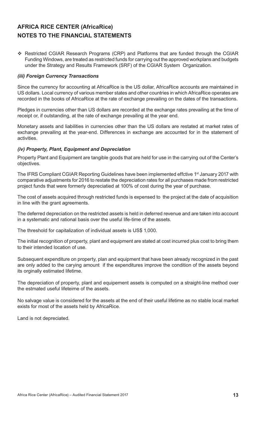\* Restricted CGIAR Research Programs (CRP) and Platforms that are funded through the CGIAR Funding Windows, are treated as restricted funds for carrying out the approved workplans and budgets under the Strategy and Results Framework (SRF) of the CGIAR System Organization.

# *(iii) Foreign Currency Transactions*

Since the currency for accounting at AfricaRice is the US dollar, AfricaRice accounts are maintained in US dollars. Local currency of various member states and other countries in which AfricaRice operates are recorded in the books of AfricaRice at the rate of exchange prevailing on the dates of the transactions.

Pledges in currencies other than US dollars are recorded at the exchange rates prevailing at the time of receipt or, if outstanding, at the rate of exchange prevailing at the year end.

Monetary assets and liabilities in currencies other than the US dollars are restated at market rates of exchange prevailing at the year-end. Differences in exchange are accounted for in the statement of activities.

# *(iv) Property, Plant, Equipment and Depreciation*

Property Plant and Equipment are tangible goods that are held for use in the carrying out of the Center's objectives.

The IFRS Compliant CGIAR Reporting Guidelines have been implemented effctive 1<sup>st</sup> January 2017 with comparative adjustments for 2016 to restate the depreciation rates for all purchases made from restricted project funds that were formerly depreciatied at 100% of cost during the year of purchase.

The cost of assets acquired through restricted funds is expensed to the project at the date of acquisition in line with the grant agreements.

The deferred depreciation on the restricted assets is held in deferred revenue and are taken into account in a systematic and rational basis over the useful life-time of the assets.

The threshold for capitalization of individual assets is US\$ 1,000.

The initial recognition of property, plant and equipment are stated at cost incurred plus cost to bring them to their intended location of use.

Subsequent expenditure on property, plan and equipment that have been already recognized in the past are only added to the carying amount if the expenditures improve the condition of the assets beyond its orginally estimated lifetime.

The depreciation of property, plant and equipement assets is computed on a straight-line method over the estmated useful lifeteime of the assets.

No salvage value is considered for the assets at the end of their useful lifetime as no stable local market exists for most of the assets held by AfricaRice.

Land is not depreciated.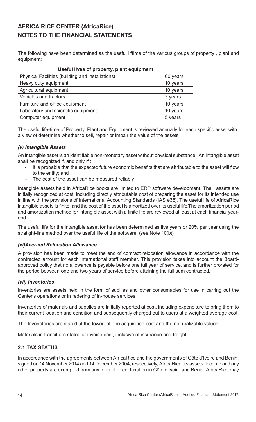The following have been determined as the useful liftime of the various groups of property, plant and equipment:

| Useful lives of property, plant equipment        |          |
|--------------------------------------------------|----------|
| Physical Facilities (building and installations) | 60 years |
| Heavy duty equipment                             | 10 years |
| Agricultural equipment                           | 10 years |
| Vehicles and tractors                            | 7 years  |
| Furniture and office equipment                   | 10 years |
| Laboratory and scientific equipment              | 10 years |
| Computer equipment                               | 5 years  |

The useful life-time of Property, Plant and Equipment is reviewed annually for each specific asset with a view of determine whether to sell, repair or impair the value of the assets

# *(v) Intangible Assets*

An intangible asset is an identifiable non-monetary asset without physical substance. An intangible asset shall be recognized if, and only if :

- It is probable that the expected future economic benefits that are attributable to the asset will flow to the entity; and ;
- The cost of the asset can be measured reliably

Intangible assets held in AfricaRice books are limited to ERP software development. The assets are initially recognized at cost, including directly attributable cost of preparing the asset for its intended use in line with the provisions of International Accounting Standards (IAS #38). The useful life of AfricaRice intangible assets is finite, and the cost of the asset is amortized over its useful life.The amortization period and amortization method for intangible asset with a finite life are reviewed at least at each financial yearend.

The useful life for the intangible asset for has been determined as five years or 20% per year using the stratight-line method over the useful life of the software. (see Note 10(b))

# *(vi)Accrued Relocation Allowance*

A provision has been made to meet the end of contract relocation allowance in accordance with the contracted amount for each international staff member. This provision takes into account the Boardapproved policy that no allowance is payable before one full year of service, and is further prorated for the period between one and two years of service before attaining the full sum contracted.

# *(vii) Inventories*

Inventories are assets held in the form of supllies and other consumables for use in carring out the Center's operations or in redering of in-house services.

Inventories of materials and supplies are initially reported at cost, including expenditure to bring them to their current location and condition and subsequently charged out to users at a weighted average cost.

The Invenotories are stated at the lower of the acquisition cost and the net realizable values.

Materials in transit are stated at invoice cost, inclusive of insurance and freight.

# **2.1 TAX STATUS**

In accordance with the agreements between AfricaRice and the governments of Côte d'Ivoire and Benin, signed on 14 November 2014 and 14 December 2004, respectively, AfricaRice, its assets, income and any other property are exempted from any form of direct taxation in Côte d'Ivoire and Benin. AfricaRice may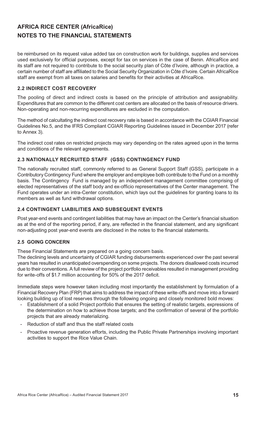be reimbursed on its request value added tax on construction work for buildings, supplies and services used exclusively for official purposes, except for tax on services in the case of Benin. AfricaRice and its staff are not required to contribute to the social security plan of Côte d'Ivoire, although in practice, a certain number of staff are affiliated to the Social Security Organization in Côte d'Ivoire. Certain AfricaRice staff are exempt from all taxes on salaries and benefits for their activities at AfricaRice.

# **2.2 INDIRECT COST RECOVERY**

The pooling of direct and indirect costs is based on the principle of attribution and assignability. Expenditures that are common to the different cost centers are allocated on the basis of resource drivers. Non-operating and non-recurring expenditures are excluded in the computation.

The method of calcultating the indirect cost recovery rate is based in accordance with the CGIAR Financial Guidelines No.5, and the IFRS Compliant CGIAR Reporting Guidelines issued in December 2017 (refer to Annex 3).

The indirect cost rates on restricted projects may vary depending on the rates agreed upon in the terms and conditions of the relevant agreements.

# **2.3 NATIONALLY RECRUITED STAFF (GSS) CONTINGENCY FUND**

The nationally recruited staff, commonly referred to as General Support Staff (GSS), participate in a Contributory Contingency Fund where the employer and employee both contribute to the Fund on a monthly basis. The Contingency Fund is managed by an independent management committee comprising of elected representatives of the staff body and ex-officio representatives of the Center management. The Fund operates under an intra-Center constitution, which lays out the guidelines for granting loans to its members as well as fund withdrawal options.

# **2.4 CONTINGENT LIABILITIES AND SUBSEQUENT EVENTS**

Post year-end events and contingent liabilities that may have an impact on the Center's financial situation as at the end of the reporting period, if any, are reflected in the financial statement, and any significant non-adjusting post year-end events are disclosed in the notes to the financial statements.

# **2.5 GOING CONCERN**

These Financial Statements are prepared on a going concern basis.

The declining levels and uncertainty of CGIAR funding disbursements experienced over the past several years has resulted in unanticipated overspending on some projects. The donors disallowed costs incurred due to their conventions. A full review of the project portfolio receivables resulted in management providing for write-offs of \$1.7 million accounting for 50% of the 2017 deficit.

Immediate steps were however taken including most importantly the establishment by formulation of a Financial Recovery Plan (FRP) that aims to address the impact of these write-offs and move into a forward looking building up of lost reserves through the following ongoing and closely monitored bold moves:

- Establishment of a solid Project portfolio that ensures the setting of realistic targets, expressions of the determination on how to achieve those targets; and the confirmation of several of the portfolio projects that are already materializing.
- Reduction of staff and thus the staff related costs
- Proactive revenue generation efforts, including the Public Private Partnerships involving important activities to support the Rice Value Chain.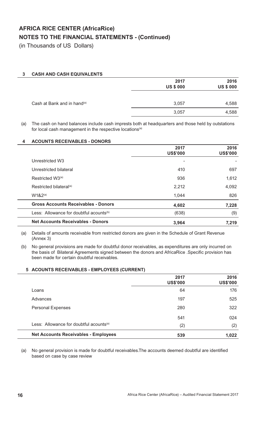(in Thousands of US Dollars)

# **3 CASH AND CASH EQUIVALENTS**

|                                         | 2017<br><b>US \$ 000</b> | 2016<br><b>US \$ 000</b> |
|-----------------------------------------|--------------------------|--------------------------|
| Cash at Bank and in hand <sup>(a)</sup> | 3,057                    | 4,588                    |
|                                         | 3,057                    | 4,588                    |

(a) The cash on hand balances include cash imprests both at headquarters and those held by outstations for local cash management in the respective locations<sup>(a)</sup>

# **4 ACOUNTS RECEIVABLES - DONORS**

|                                                     | 2017<br><b>US\$'000</b> | 2016<br><b>US\$'000</b> |
|-----------------------------------------------------|-------------------------|-------------------------|
| Unrestricted W3                                     |                         |                         |
| Unrestricted bilateral                              | 410                     | 697                     |
| Restricted W3 <sup>(a)</sup>                        | 936                     | 1,612                   |
| Restricted bilateral <sup>(a)</sup>                 | 2,212                   | 4,092                   |
| $W182^{(a)}$                                        | 1,044                   | 826                     |
| <b>Gross Accounts Receivables - Donors</b>          | 4,602                   | 7,228                   |
| Less: Allowance for doubtful acounts <sup>(b)</sup> | (638)                   | (9)                     |
| <b>Net Accounts Receivables - Donors</b>            | 3,964                   | 7,219                   |

(a) Details of amounts receivable from restricted donors are given in the Schedule of Grant Revenue (Annex 3)

(b) No general provisions are made for doubtful donor receivables, as expenditures are only incurred on the basis of Bilateral Agreements signed between the donors and AfricaRice . Specific provision has been made for certain doubtful receivables.

# **5 ACOUNTS RECEIVABLES - EMPLOYEES (CURRENT)**

|                                                     | 2017<br><b>US\$'000</b> | 2016<br><b>US\$'000</b> |
|-----------------------------------------------------|-------------------------|-------------------------|
| Loans                                               | 64                      | 176                     |
| Advances                                            | 197                     | 525                     |
| <b>Personal Expenses</b>                            | 280                     | 322                     |
|                                                     | 541                     | 024                     |
| Less: Allowance for doubtful acounts <sup>(a)</sup> | (2)                     | (2)                     |
| <b>Net Accounts Receivables - Employees</b>         | 539                     | 1,022                   |

(a) No general provision is made for doubtful receivables. The accounts deemed doubtful are identified based on case by case review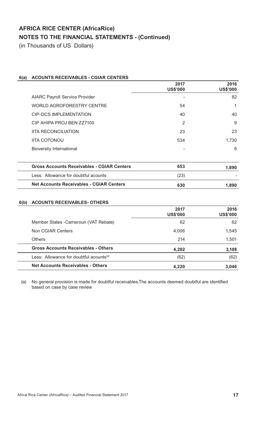(in Thousands of US Dollars)

# **6(a) ACOUNTS RECEIVABLES - CGIAR CENTERS**

|                                                   | 2017<br><b>US\$'000</b> | 2016<br><b>US\$'000</b> |
|---------------------------------------------------|-------------------------|-------------------------|
| <b>AIARC Payroll Service Provider</b>             |                         | 82                      |
| <b>WORLD AGROFORESTRY CENTRE</b>                  | 54                      | 1                       |
| <b>CIP-OCS IMPLEMENTATION</b>                     | 40                      | 40                      |
| CIP AHIPA PROJ BEN ZZ7100                         | 2                       | 9                       |
| <b>IITA RECONCILIATION</b>                        | 23                      | 23                      |
| <b>IITA COTONOU</b>                               | 534                     | 1,730                   |
| <b>Bioversity International</b>                   |                         | 6                       |
|                                                   |                         |                         |
| <b>Gross Accounts Receivables - CGIAR Centers</b> | 653                     | 1,890                   |
| Less: Allowance for doubtful acounts              | (23)                    |                         |
| <b>Net Accounts Receivables - CGIAR Centers</b>   | 630                     | 1,890                   |
|                                                   |                         |                         |

# **6(b) ACOUNTS RECEIVABLES- OTHERS**

|                                                     | 2017<br><b>US\$'000</b> | 2016<br><b>US\$'000</b> |
|-----------------------------------------------------|-------------------------|-------------------------|
| Member States - Cameroun (VAT Rebate)               | 62                      | 62                      |
| Non CGIAR Centers                                   | 4,006                   | 1,545                   |
| <b>Others</b>                                       | 214                     | 1,501                   |
| <b>Gross Accounts Receivables - Others</b>          | 4,282                   | 3,108                   |
| Less: Allowance for doubtful acounts <sup>(a)</sup> | (62)                    | (62)                    |
| <b>Net Accounts Receivables - Others</b>            | 4,220                   | 3,046                   |

(a) No general provision is made for doubtful receivables. The accounts deemed doubtful are identified based on case by case review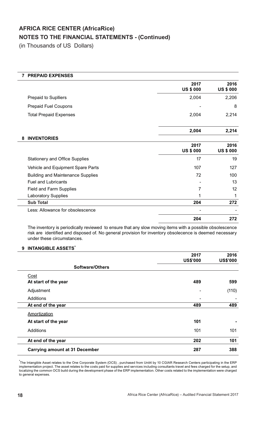(in Thousands of US Dollars)

| <b>PREPAID EXPENSES</b>                  |                          |                          |
|------------------------------------------|--------------------------|--------------------------|
|                                          | 2017<br><b>US \$ 000</b> | 2016<br><b>US \$ 000</b> |
| <b>Prepaid to Suplliers</b>              | 2,004                    | 2,206                    |
| <b>Prepaid Fuel Coupons</b>              |                          | 8                        |
| <b>Total Prepaid Expenses</b>            | 2,004                    | 2,214                    |
|                                          | 2,004                    | 2,214                    |
| <b>INVENTORIES</b><br>8                  |                          |                          |
|                                          | 2017<br><b>US \$ 000</b> | 2016<br><b>US \$ 000</b> |
| <b>Stationery and Office Supplies</b>    | 17                       | 19                       |
| Vehicle and Equipment Spare Parts        | 107                      | 127                      |
| <b>Building and Maintenance Supplies</b> | 72                       | 100                      |
| <b>Fuel and Lubricants</b>               |                          | 13                       |
| Field and Farm Supplies                  | 7                        | 12                       |
| <b>Laboratory Supplies</b>               |                          | 1                        |
| <b>Sub Total</b>                         | 204                      | 272                      |
| Less: Allowance for obsolescence         |                          |                          |
|                                          | 204                      | 272                      |

The inventory is periodically reviewed to ensure that any slow moving items with a possible obsolescence risk are identified and disposed of. No general provision for inventory obsolecence is deemed necessary under these circumstances.

# **9 INTANGIBLE ASSETS\***

|                                       | 2017<br><b>US\$'000</b> | 2016<br><b>US\$'000</b> |
|---------------------------------------|-------------------------|-------------------------|
| <b>Software/Others</b>                |                         |                         |
| Cost                                  |                         |                         |
| At start of the year                  | 489                     | 599                     |
| Adjustment                            |                         | (110)                   |
| <b>Additions</b>                      |                         |                         |
| At end of the year                    | 489                     | 489                     |
| Amortization                          |                         |                         |
| At start of the year                  | 101                     |                         |
| Additions                             | 101                     | 101                     |
| At end of the year                    | 202                     | 101                     |
| <b>Carrying amount at 31 December</b> | 287                     | 388                     |

<sup>\*</sup>The Intangible Asset relates to the One Corporate System (OCS) , purchased from Unit4 by 10 CGIAR Research Centers participating in the ERP implementation project. The asset relates to the costs paid for supplies and services including consultants travel and fees charged for the setup, and localizing the common OCS build during the development phase of the ERP implementation. Other costs related to the implementation were charged to general expenses.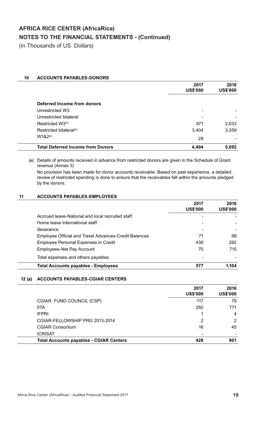(in Thousands of US Dollars)

# **10 ACCOUNTS PAYABLES-DONORS**

|                                          | 2017<br><b>US\$'000</b> | 2016<br><b>US\$'000</b> |
|------------------------------------------|-------------------------|-------------------------|
|                                          |                         |                         |
| Deferred Income from donors              |                         |                         |
| Unrestricted W3                          | ۰                       |                         |
| Unrestricted bilateral                   |                         |                         |
| Restricted W3 <sup>(a)</sup>             | 971                     | 2,633                   |
| Restricted bilateral <sup>(a)</sup>      | 3,404                   | 3,059                   |
| $W1&2^{(a)}$                             | 29                      |                         |
| <b>Total Deferred Income from Donors</b> | 4,404                   | 5,692                   |

(a) Details of amounts received in advance from restricted donors are given in the Schedule of Grant revenue (Annex 3)

No provision has been made for donor accounts receivable. Based on past experience, a detailed review of restricted spending is done to ensure that the receivables fall within the amounts pledged by the donors.

# **11 ACCOUNTS PAYABLES-EMPLOYEES**

|                                                              | 2017<br><b>US\$'000</b> | 2016<br><b>US\$'000</b> |
|--------------------------------------------------------------|-------------------------|-------------------------|
| Accrued leave-National and local recruited staff             |                         |                         |
| Home leave International staff                               |                         |                         |
| Severance                                                    | ۰                       |                         |
| <b>Employee Official and Travel Advances-Credit Balances</b> | 71                      | 98                      |
| <b>Employee Personal Expenses in Credit</b>                  | 436                     | 292                     |
| <b>Employeee-Net Pay Account</b>                             | 70                      | 715                     |
| Total expenses and others payables                           |                         |                         |
| <b>Total Accounts payables - Employees</b>                   | 57                      | 1,104                   |

# **12 (a) ACCOUNTS PAYABLES-CGIAR CENTERS**

|                                                | 2017<br><b>US\$'000</b> | 2016<br><b>US\$'000</b> |
|------------------------------------------------|-------------------------|-------------------------|
| CGIAR FUND COUNCIL (CSP)                       | 117                     | 79                      |
| <b>IITA</b>                                    | 292                     | 771                     |
| <b>IFPRI</b>                                   |                         | 4                       |
| CGIAR-FELLOWSHIP PRG 2013-2014                 | 2                       | 2                       |
| <b>CGIAR Consortium</b>                        | 16                      | 45                      |
| <b>ICRISAT</b>                                 |                         |                         |
| <b>Total Accounts payables - CGIAR Centers</b> | 428                     | 901                     |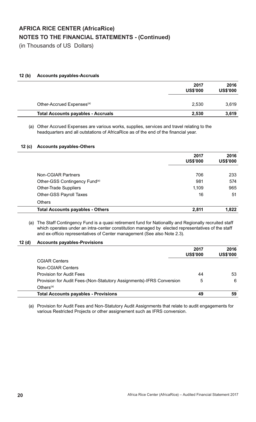(in Thousands of US Dollars)

# **12 (b) Accounts payables-Accruals**

|                                           | 2017<br><b>US\$'000</b> | 2016<br><b>US\$'000</b> |
|-------------------------------------------|-------------------------|-------------------------|
| Other-Accrued Expenses <sup>(a)</sup>     | 2,530                   | 3,619                   |
| <b>Total Accounts payables - Accruals</b> | 2,530                   | 3,619                   |

(a) Other Accrued Expenses are various works, supplies, services and travel relating to the headquarters and all outstations of AfricaRice as of the end of the financial year.

# **12 (c) Accounts payables-Others**

|                                           | 2017<br><b>US\$'000</b> | 2016<br><b>US\$'000</b> |
|-------------------------------------------|-------------------------|-------------------------|
| Non-CGIAR Partners                        | 706                     | 233                     |
| Other-GSS Contingency Fund <sup>(a)</sup> | 981                     | 574                     |
| <b>Other-Trade Suppliers</b>              | 1,109                   | 965                     |
| <b>Other-GSS Payroll Taxes</b>            | 16                      | 51                      |
| Others                                    |                         |                         |
| <b>Total Accounts payables - Others</b>   | 2,811                   | 1,822                   |

 (a) The Staff Contingency Fund is a quasi retirement fund for Nationallly and Regionally recruited staff which operates under an intra-center constitution managed by elected representatives of the staff and ex-officio representatives of Center management (See also Note 2.3).

# **12 (d) Accounts payables-Provisions**

|                                                                      | 2017<br><b>US\$'000</b> | 2016<br><b>US\$'000</b> |
|----------------------------------------------------------------------|-------------------------|-------------------------|
| <b>CGIAR Centers</b>                                                 |                         |                         |
| Non-CGIAR Centers                                                    |                         |                         |
| <b>Provision for Audit Fees</b>                                      | 44                      | 53                      |
| Provision for Audit Fees-(Non-Statutory Assignments)-IFRS Conversion | 5                       | 6                       |
| Others $(a)$                                                         |                         |                         |
| <b>Total Accounts payables - Provisions</b>                          | 49                      | 59                      |

(a) Provision for Audit Fees and Non-Statutory Audit Assignments that relate to audit engagements for various Restricted Projects or other assignement such as IFRS conversion.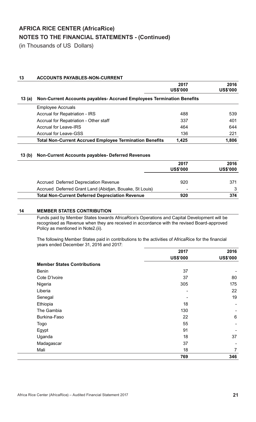(in Thousands of US Dollars)

# **13 ACCOUNTS PAYABLES-NON-CURRENT**

|       |                                                                       | 2017<br><b>US\$'000</b> | 2016<br><b>US\$'000</b> |
|-------|-----------------------------------------------------------------------|-------------------------|-------------------------|
| 13(a) | Non-Current Accounts payables- Accrued Employees Termination Benefits |                         |                         |
|       | <b>Employee Accruals</b>                                              |                         |                         |
|       | <b>Accrual for Repatriation - IRS</b>                                 | 488                     | 539                     |
|       | Accrual for Repatriation - Other staff                                | 337                     | 401                     |
|       | Accrual for Leave-IRS                                                 | 464                     | 644                     |
|       | <b>Accrual for Leave-GSS</b>                                          | 136                     | 221                     |
|       | <b>Total Non-Current Accrued Employee Termination Benefits</b>        | 1,425                   | 1,806                   |

# **13 (b) Non-Current Accounts payables- Deferred Revenues**

|                                                         | 2017<br><b>US\$'000</b>  | 2016<br><b>US\$'000</b> |
|---------------------------------------------------------|--------------------------|-------------------------|
| <b>Accrued Deferred Depreciation Revenue</b>            | 920                      | 371                     |
| Accrued Deferred Grant Land (Abidjan, Bouake, St Louis) | $\overline{\phantom{a}}$ |                         |
| <b>Total Non-Current Deferred Depreciation Revenue</b>  | 920                      | 374                     |

# **14 MEMBER STATES CONTRIBUTION**

Funds paid by Member States towards AfricaRice's Operations and Capital Development will be recognised as Revenue when they are received in accordance with the revised Board-approved Policy as mentioned in Note2.(ii).

The following Member States paid in contributions to the activities of AfricaRice for the financial years ended December 31, 2016 and 2017:

|                                    | 2017            | 2016            |
|------------------------------------|-----------------|-----------------|
|                                    | <b>US\$'000</b> | <b>US\$'000</b> |
| <b>Member States Contributions</b> |                 |                 |
| <b>Benin</b>                       | 37              |                 |
| Cote D'Ivoire                      | 37              | 80              |
| Nigeria                            | 305             | 175             |
| Liberia                            | ۰               | 22              |
| Senegal                            |                 | 19              |
| Ethiopia                           | 18              |                 |
| The Gambia                         | 130             |                 |
| Burkina-Faso                       | 22              | 6               |
| Togo                               | 55              |                 |
| Egypt                              | 91              |                 |
| Uganda                             | 18              | 37              |
| Madagascar                         | 37              |                 |
| Mali                               | 18              | $\overline{7}$  |
|                                    | 769             | 346             |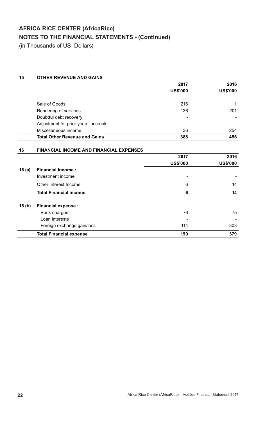(in Thousands of US Dollars)

# **15 OTHER REVENUE AND GAINS**

|                                      | 2017            | 2016            |
|--------------------------------------|-----------------|-----------------|
|                                      | <b>US\$'000</b> | <b>US\$'000</b> |
|                                      |                 |                 |
| Sale of Goods                        | 216             |                 |
| Rendering of services                | 136             | 201             |
| Doubtful debt recovery               |                 |                 |
| Adjustment for prior years' accruals |                 |                 |
| Miscellaneous income                 | 36              | 254             |
| <b>Total Other Revenue and Gains</b> | 388             | 456             |

| 16       | <b>FINANCIAL INCOME AND FINANCIAL EXPENSES</b> |                 |                 |
|----------|------------------------------------------------|-----------------|-----------------|
|          |                                                | 2017            | 2016            |
|          |                                                | <b>US\$'000</b> | <b>US\$'000</b> |
| 16 $(a)$ | <b>Financial Income:</b>                       |                 |                 |
|          | Investment income                              |                 |                 |
|          | Other Interest Income                          | 6               | 14              |
|          | <b>Total Financial income</b>                  | 6               | 14              |
| 16(b)    | <b>Financial expense:</b>                      |                 |                 |
|          | Bank charges                                   | 76              | 75              |
|          | Loan interests                                 |                 |                 |
|          | Foreign exchange gain/loss                     | 114             | 303             |
|          | <b>Total Financial expense</b>                 | 190             | 379             |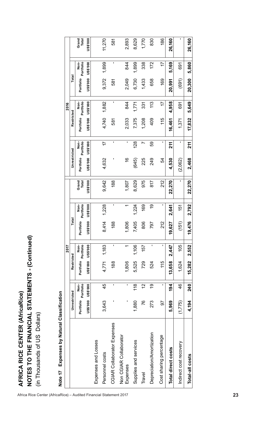# ses by Natural Classifi Note 17 Expenses by Natural Classification

| Expenses by Natural Classification<br>Note 17 |                 |                   |                 |                          |           |                          |                |                 |                   |                 |                   |                 |                   |                 |
|-----------------------------------------------|-----------------|-------------------|-----------------|--------------------------|-----------|--------------------------|----------------|-----------------|-------------------|-----------------|-------------------|-----------------|-------------------|-----------------|
|                                               |                 |                   |                 | 2017                     |           |                          |                |                 |                   |                 | 2016              |                 |                   |                 |
|                                               | Unrestricted    |                   | Restricted      |                          | Total     |                          |                | Unrestricted    |                   | Restricted      |                   | Total           |                   |                 |
|                                               | Portfolio       | Non-<br>Portfolio | Portfolio       | Non-<br>Portfolio        | Portfolio | Portfolio<br>Non-        | Grand<br>Total | Portfolio       | Portfolio<br>Non- | Portfolio       | Non-<br>Portfolio | Portfolio       | Portfolio<br>Non- | Grand<br>Total  |
|                                               | <b>DO0.\$SN</b> | <b>DO0.\$SN</b>   | <b>US\$'000</b> | 000.\$SN                 | US\$'000  | US\$'000                 | US\$'000       | <b>DO0.\$SN</b> | US\$'000          | <b>US\$'000</b> | <b>US\$'000</b>   | <b>000.\$SN</b> | <b>DO0.\$SN</b>   | <b>US\$'000</b> |
| Expenses and Losses                           |                 |                   |                 |                          |           |                          |                |                 |                   |                 |                   |                 |                   |                 |
| Personnel costs                               | 3,643           | 45                | 4,771           | 1,183                    | 8,414     | 1,228                    | 9,642          | 4,632           | $\overline{1}$    | 4,740           | 1,882             | 9,372           | 1,899             | 11,270          |
| CGIAR Collaborator Expenses                   | I.              | $\blacksquare$    | 188             | $\mathbf I$              | 188       | 1                        | 188            | ı               | I.                | 581             | I.                | 581             | 1                 | 581             |
| Non CGIAR Collaborator<br>Expenses            | ٠               | $\mathbf{I}$      | 1,806           | $\overline{\phantom{0}}$ | 1,806     | $\overline{\phantom{0}}$ | 1,807          | $\frac{6}{5}$   | J.                | 2,033           | 844               | 2,049           | 844               | 2,893           |
| Supplies and services                         | 1,880           | 118               | 5,525           | 1,106                    | 7,405     | 1,224                    | 8,629          | (645)           | 128               | 7,375           | 1,771             | 6,730           | 1,899             | 8,629           |
| Travel                                        | 76              | $\overline{c}$    | 729             | 157                      | 806       | 169                      | 975            | 225             | Ľ                 | 1,208           | 331               | 1,433           | 338               | 1,770           |
| Depreciation/Amortization                     | 273             | <u>ဝှ</u>         | 524             | $\blacksquare$           | 797       | <u>ღ</u>                 | 817            | 249             | 59                | 409             | 113               | 658             | 172               | 830             |
| Cost sharing percentage                       | 50              | $\mathbf{I}$      | 115             | I.                       | 212       | I.                       | 212            | 54              | I.                | 115             | 17                | 169             | 17                | 186             |
| Total direct costs                            | 5,969           | 194               | 13,658          | 2,447                    | 19,627    | 2,641                    | 22,270         | 4,530           | 211               | 16,461          | 4,958             | 20,991          | 5,169             | 26,160          |
| Indirect cost recovery                        | (1,775)         | 46                | 1,624           | 105                      | (151)     | 151                      | I.             | (2,062)         | 1                 | 1,371           | 691               | (691)           | 691               | I.              |
| Total-all costs                               | 4,194           | 240               | 15,282          | 2,552                    | 19,476    | 2,792                    | 22,270         | 2,468           | 211               | 17,832          | 5,649             | 20,300          | 5,860             | 26,160          |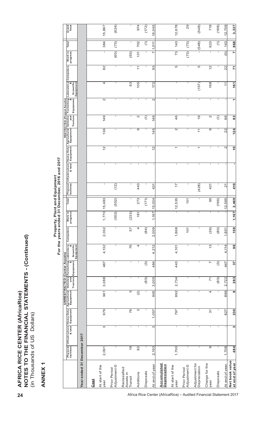| (in Thousands of US<br>NOTES                                                                             | Ш<br>Ξ<br><u>p</u>     | <b>ANCIAL</b><br><u>Z</u><br>□ | Dollars)                |                           |                    |                                             |                         |                                          |              |        |                        |                          |                          |                                                                                                                  |                      |                          |                                            |             |                     |                       |                |
|----------------------------------------------------------------------------------------------------------|------------------------|--------------------------------|-------------------------|---------------------------|--------------------|---------------------------------------------|-------------------------|------------------------------------------|--------------|--------|------------------------|--------------------------|--------------------------|------------------------------------------------------------------------------------------------------------------|----------------------|--------------------------|--------------------------------------------|-------------|---------------------|-----------------------|----------------|
| ANNEX1                                                                                                   |                        |                                |                         |                           |                    |                                             |                         |                                          |              |        |                        |                          |                          |                                                                                                                  |                      |                          |                                            |             |                     |                       |                |
|                                                                                                          |                        |                                |                         |                           |                    | <b>UNRESTRICTED (Center Assets)</b>         |                         | Property, Plan<br>For the years ended 31 |              |        | t and Equipment        | December, 2016 and 2017  |                          |                                                                                                                  |                      |                          |                                            |             |                     |                       |                |
|                                                                                                          | Physical<br>facilities | Infrastructure                 | Heavy Duty<br>Equipment | Agricultural<br>Equipment | Tractors Equipment | Vehicles Furnishing Laboratory<br>and and & | Scientific<br>Equipment | Computers                                | Work in      | Total  | Physical<br>facilities | Infrastructure<br>& land | Heavy Duty<br>Equipment  | RESTRICTED (Project Assets)<br>Agricultural Vehicles Furnishing<br>Equipment and Equipment<br>Tractors Equipment |                      |                          | Laboratory<br>&<br>Scientific<br>Equipment | Computers   | Work in             | Total                 | Grand<br>Total |
| Year ended 31 December 2017                                                                              |                        |                                |                         |                           |                    |                                             |                         |                                          |              |        |                        |                          |                          |                                                                                                                  |                      |                          |                                            |             |                     |                       |                |
| Cost                                                                                                     |                        |                                |                         |                           |                    |                                             |                         |                                          |              |        |                        |                          |                          |                                                                                                                  |                      |                          |                                            |             |                     |                       |                |
| At start of the<br>year                                                                                  | 2,091                  | S                              | 979                     | 901                       | 3,088              | 487                                         | 4,132                   | 2,032                                    | 1,770        | 5,483  | 1                      | $\mathbf{I}$             | $\overline{2}$           | 136                                                                                                              | 149                  | $\mathbf{\Omega}$        | 4                                          | 82          | $\mathbf{I}$        | 384                   | 15,867         |
| Adjustment <sup>©</sup><br>Prior Period                                                                  |                        | $\mathbf{I}$                   | ı                       | I.                        |                    | $\mathbf I$                                 | ٠                       | т.                                       | (552)        | (552)  | (12)                   | $\mathbf{I}$             |                          | л                                                                                                                | л.                   | ٠                        | ٠                                          | I.          | (60)                | (73)                  | (624)          |
| Reclassified<br>Assets in<br>Transit                                                                     | $\overline{9}$         | $\mathbf{I}$                   | $\overline{76}$         | ъ                         | $\mathbf{I}$       | т                                           | $\overline{76}$         | 57                                       | (233)        | ٠      | 1                      | $\mathbf{I}$             | $\mathbf{I}$             | $\mathbf I$                                                                                                      | $\mathbf{I}$         | $\mathbf{I}$             | 63                                         | 1           | (63)                | 1                     | $\mathbf{I}$   |
| Additions                                                                                                | $\overline{82}$        | 1                              | S                       | $\widehat{\odot}$         |                    | ٠                                           | 4                       | 4                                        | 181          | 273    | 443                    | $\mathbf{I}$             | 1                        | တ                                                                                                                | $\mathbf{\Omega}$    | $\mathbf{I}$             | 105                                        | $\tilde{+}$ | 131                 | 702                   | 974            |
| Disposals                                                                                                |                        | -1                             |                         |                           | (83)               | $\widehat{\mathcal{C}}$                     |                         | (84)                                     |              | (171)  |                        | -1                       |                          |                                                                                                                  | $\widehat{\tau}$     | ٠                        |                                            |             | -                   | $\overline{\epsilon}$ | (172)          |
| At end of year                                                                                           | 2,193                  | ო                              | 1,057                   | 905                       | 3,005              | 484                                         | 212<br>4.               | 2,009                                    | 1,167        | 15,034 | 431                    | $\mathbf{I}$             | $\mathbf{\Omega}$        | 5<br>$\frac{4}{3}$                                                                                               | 149                  | $\mathbf{\Omega}$        | 172                                        | 93          | $\overline{ }$<br>↖ | $\overline{0}$        | 16,045         |
| Accumulated<br><b>Depreciation</b><br>Africa Rice Center (AfricaRice) - Audited Financial Statement 2017 |                        |                                |                         |                           |                    |                                             |                         |                                          |              |        |                        |                          |                          |                                                                                                                  |                      |                          |                                            |             |                     |                       |                |
| At start of the<br>year                                                                                  | 1,700                  | $\mathbf{I}$                   | 797                     | 892                       | 2,734              | 443                                         | 4,101                   | 1,868                                    | T            | 2,535  | $\overline{1}$         | $\mathbf{I}$             | $\overline{\phantom{m}}$ | $\mathbf{\Omega}$                                                                                                | 46                   | $\mathsf I$              | $\mathbf I$                                | 5           | 73                  | 143                   | 12,678         |
| Adjustment <sup>©</sup><br>Prior Period                                                                  | 1                      | $\blacksquare$                 | J.                      | T.                        | $\mathbf{I}$       | $\mathbf I$                                 | $\mathbf{I}$            | 101                                      | I.           | 101    |                        | $\mathbf{I}$             | 1                        | ٠                                                                                                                | 1                    | $\mathbf{I}$             | ٠                                          | $\mathbf I$ | (73)                | (73)                  | 29             |
| Adjustment for<br>Depreciation                                                                           | $\mathbf I$            | $\mathbf I$                    | $\blacksquare$          | J.                        | ٠                  | $\mathbf{I}$                                | J.                      | ٠                                        | $\mathbf{I}$ | J.     | (428)                  | $\blacksquare$           | $\overline{\phantom{m}}$ | $\tilde{+}$                                                                                                      | $\overline{9}$       | л.                       | (157)                                      | Ю           | $\mathbf{I}$        | (548)                 | (548)          |
| Charge for the<br>year                                                                                   | တ                      | $\mathbf{I}$                   | 31                      | 4                         | $\overline{7}$     | $\sim$                                      | 13                      | (39)                                     |              | 95     | 431                    | $\mathbf{I}$             | ٠                        | თ                                                                                                                | $\mathbf{\Omega}$    | ٠                        | 168                                        | 57          | $\mathbf{I}$        | 623                   | 718            |
| <b>Disposals</b>                                                                                         |                        |                                |                         |                           | (83)               | $\widehat{\mathcal{O}}$                     |                         | (80)                                     |              | (166)  |                        | $\blacksquare$           |                          |                                                                                                                  | $\widehat{\epsilon}$ |                          |                                            |             | ٠                   | $\widehat{\tau}$      | (168)          |
| At end of year                                                                                           | 1,708                  |                                | 827                     | 896                       | 2,722              | 447                                         | 4,114                   | 1,851                                    |              | 2,565  | $\overline{2}$         | $\blacksquare$           | $\sim$                   | 22                                                                                                               | 66                   |                          | $\overline{1}$                             | 22          | $\widehat{c}$       | 143                   | 12,709         |
| Net book value<br>at end of year                                                                         | 484                    | S                              | 230                     | ၈                         | 283                | 37                                          | $\overline{98}$         | 158                                      | 1,167        | 2,469  | 410                    | ٠                        | $\frac{0}{1}$            | $124$                                                                                                            | 83                   | $\overline{\phantom{0}}$ | 161                                        | 71          | N                   | 868                   | 3,337          |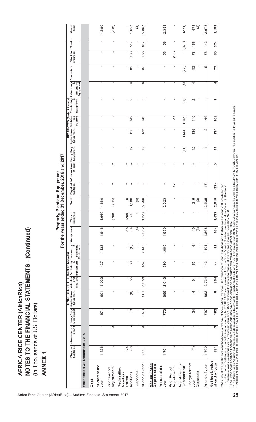|                                                                      |                  |                                                                  |                 |                           |       |                                                                                                                                        |                         | For the years ended       | Property, P  |                  | ant and Equipment              | 31 December, 2016 and 2017            |                               |                                        |                                                                                                      |                   |                                                                                                             |              |              |                        |
|----------------------------------------------------------------------|------------------|------------------------------------------------------------------|-----------------|---------------------------|-------|----------------------------------------------------------------------------------------------------------------------------------------|-------------------------|---------------------------|--------------|------------------|--------------------------------|---------------------------------------|-------------------------------|----------------------------------------|------------------------------------------------------------------------------------------------------|-------------------|-------------------------------------------------------------------------------------------------------------|--------------|--------------|------------------------|
|                                                                      |                  | Physical Infrastructure Heavy Duty<br>facilities  <br>facilities |                 | Agricultural<br>Equipment |       | ehicles   Furnishing   Laboratory<br>  Mehicles   Furnishing   Laboratory<br><b>UNRESTRICTED (Center Assets)</b><br>Tractors Equipment | Scientific<br>Equipment | Computers                 | Work in      | Total            |                                | Physical Infrastructure<br>facilities | Heavy Duty<br>Equipment       | Agricultural Vehicles<br>Equipment and | <b>RESTRICTED (Project Assets)</b><br>cultural Vehicles Furnishing<br>iioment and<br><b>Tractors</b> | Equipment         | $\begin{array}{ l }\n\hline \text{Laboratory} & \text{g} \\ \hline\n\end{array}$<br>Scientific<br>Equipment | Computers    | Work in      | Total                  |
| Year ended 31 December 2016                                          |                  |                                                                  |                 |                           |       |                                                                                                                                        |                         |                           |              |                  |                                |                                       |                               |                                        |                                                                                                      |                   |                                                                                                             |              |              |                        |
| At start of the<br>Cost<br>year                                      | 1,828            | $\mathbf{I}$                                                     | 971             | 901                       | 3,033 | 427                                                                                                                                    | 4,132                   | 1,948                     | 1,640        | 14,880           | ٠                              | $\blacksquare$                        | J.                            | $\mathbf{I}$                           | 1                                                                                                    | $\mathbf{I}$      |                                                                                                             | $\mathbf{I}$ | $\mathbf{I}$ | 14,880<br>$\mathbf{I}$ |
| Adjustment <sup>(a)</sup><br>Prior Period                            |                  | S                                                                | ٠               | T.                        |       |                                                                                                                                        |                         | 1                         | (708)        | (705)            | J.                             | $\mathbf{I}$                          | ٠                             | $\mathbf{I}$                           | 1                                                                                                    | $\mathbf{I}$      | ٠                                                                                                           | J.           | ٠            | 1                      |
| Reclassified<br>Assets in<br>Additions<br>Transit                    | 174<br>88        | $\mathbf{I}$<br>$\mathbf{I}$                                     | $\infty$<br>л.  | $\odot$                   | 55    | 60                                                                                                                                     | $\odot$                 | 35<br>54                  | 915<br>(209) | $\circ$<br>1,180 | $\mathbf{I}$<br>$\blacksquare$ | τ.<br>$\mathbf{I}$                    | $\mathbf{I}$<br>$\frac{2}{3}$ | 136                                    | ٠<br>149                                                                                             | $\sqrt{ }$        | $\mathbf{I}$<br>4                                                                                           | п<br>82      | 133          | 517                    |
| Disposals                                                            |                  |                                                                  |                 |                           |       |                                                                                                                                        |                         | $\widehat{f}$             | $\circ$      | $\widehat{f}$    | -1                             | $\mathbf{I}$                          |                               |                                        |                                                                                                      |                   |                                                                                                             |              |              |                        |
| At end of year                                                       | 2,091            | S                                                                | 979             | 501                       | 3,088 | 487                                                                                                                                    | 4,132                   | 2,032                     | 1,637        | 5,350            |                                | $\mathbf{I}$                          | $\frac{2}{3}$                 | 136                                    | 149                                                                                                  | $\mathbf{\Omega}$ | 4                                                                                                           | 82           | 133          | 15,867<br>517          |
| <b>Accumulated</b><br><b>Depreciation</b><br>At start of the<br>year | 1,704            | $\mathbf{I}$                                                     | 773             | 888                       | 2,643 | 390                                                                                                                                    | 4,095                   | 1,830                     | $\mathbf{I}$ | 12,323           |                                | $\mathbf{I}$                          | -                             | $\mathbf{I}$                           |                                                                                                      | $\mathbf{I}$      | п.                                                                                                          | $\mathbf{I}$ | 58           | 58                     |
| Adjustment <sup>(a)</sup><br>Prior Period                            |                  | I.                                                               |                 | ı.                        |       |                                                                                                                                        |                         |                           | $\mathbf{I}$ |                  | $\overline{1}$                 | $\mathbf{I}$                          |                               | ı                                      | $\frac{4}{1}$                                                                                        |                   | ı                                                                                                           | ı            | (58)         |                        |
| Adjustment for<br>Depreciation                                       | J.               | $\mathbf{I}$                                                     | ÷               | J.                        |       |                                                                                                                                        | ı                       | J.                        | $\mathbf{I}$ |                  |                                | $\mathbf{I}$                          | (11)                          | (134)                                  | (143)                                                                                                | $\overline{c}$    | $\widehat{A}$                                                                                               | (77)         | J.           | (371)                  |
| Charge for the<br><b>Disposals</b><br>year                           | $\overline{(4)}$ |                                                                  | $\overline{24}$ | 4                         | 5     | 53                                                                                                                                     | 6                       | $\overline{0}$<br>$\odot$ | $\mathbf{I}$ | 215<br>$\odot$   |                                | $\blacksquare$<br>٠                   | $\frac{2}{3}$                 | 136                                    | 149                                                                                                  | $\sim$            | 4                                                                                                           | 82           | 73           | 56<br>4                |
| At end of year                                                       | 1,700            |                                                                  | 797             | 892                       | 2,734 | 443                                                                                                                                    | 4,101                   | 1,868                     |              | 2,535            | $\overline{1}$                 |                                       | $\overline{\phantom{0}}$      | $\mathbf{\Omega}$                      | 46                                                                                                   |                   | ٠                                                                                                           | Ю            | ო<br>∼       | 143                    |
| Net book value<br>at end of year                                     | 391              | w                                                                | 182             | G                         | 354   | $\frac{4}{4}$                                                                                                                          | $\overline{3}$          | 164                       | 1,637        | 2,815            | (17)                           | ۰                                     | $\tilde{t}$                   | 134                                    | 103                                                                                                  | ٣                 | 4                                                                                                           | 77           | 60           | 374                    |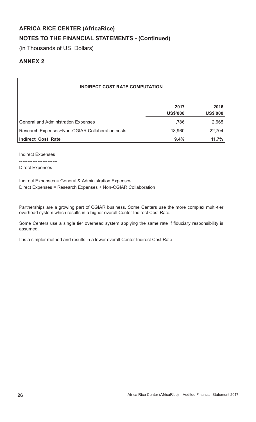# **NOTES TO THE FINANCIAL STATEMENTS - (Continued)**

(in Thousands of US Dollars)

# **ANNEX 2**

| <b>INDIRECT COST RATE COMPUTATION</b>           |                         |                         |
|-------------------------------------------------|-------------------------|-------------------------|
|                                                 | 2017<br><b>US\$'000</b> | 2016<br><b>US\$'000</b> |
| <b>General and Administration Expenses</b>      | 1,786                   | 2,665                   |
| Research Expenses+Non-CGIAR Collaboration costs | 18,960                  | 22,704                  |
| <b>Indirect Cost Rate</b>                       | 9.4%                    | 11.7%                   |

Indirect Expenses

-----------------------

Direct Expenses

Indirect Expenses = General & Administration Expenses Direct Expenses = Research Expenses + Non-CGIAR Collaboration

Partnerships are a growing part of CGIAR business. Some Centers use the more complex multi-tier overhead system which results in a higher overall Center Indirect Cost Rate.

Some Centers use a single tier overhead system applying the same rate if fiduciary responsibility is assumed.

It is a simpler method and results in a lower overall Center Indirect Cost Rate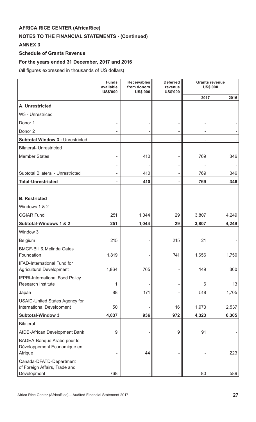# **NOTES TO THE FINANCIAL STATEMENTS - (Continued)**

# **ANNEX 3**

# **Schedule of Grants Revenue**

# **For the years ended 31 December, 2017 and 2016**

(all figures expressed in thousands of US dollars)

|                                                                         | <b>Funds</b><br>available<br><b>US\$'000</b> | <b>Receivables</b><br>from donors<br><b>US\$'000</b> | <b>Deferred</b><br>revenue<br><b>US\$'000</b> | <b>Grants revenue</b><br><b>US\$'000</b> |       |
|-------------------------------------------------------------------------|----------------------------------------------|------------------------------------------------------|-----------------------------------------------|------------------------------------------|-------|
|                                                                         |                                              |                                                      |                                               | 2017                                     | 2016  |
| A. Unrestricted                                                         |                                              |                                                      |                                               |                                          |       |
| W3 - Unrestriced                                                        |                                              |                                                      |                                               |                                          |       |
| Donor 1                                                                 |                                              |                                                      |                                               |                                          |       |
| Donor <sub>2</sub>                                                      |                                              |                                                      |                                               |                                          |       |
| <b>Subtotal Window 3 - Unrestricted</b>                                 |                                              |                                                      | -                                             |                                          |       |
| <b>Bilateral- Unrestricted</b>                                          |                                              |                                                      |                                               |                                          |       |
| <b>Member States</b>                                                    |                                              | 410                                                  |                                               | 769                                      | 346   |
|                                                                         |                                              |                                                      |                                               |                                          |       |
| Subtotal Bilateral - Unrestricted                                       |                                              | 410                                                  |                                               | 769                                      | 346   |
| <b>Total-Unrestricted</b>                                               |                                              | 410                                                  | ۰                                             | 769                                      | 346   |
|                                                                         |                                              |                                                      |                                               |                                          |       |
| <b>B.</b> Restricted                                                    |                                              |                                                      |                                               |                                          |       |
| Windows 1 & 2                                                           |                                              |                                                      |                                               |                                          |       |
| <b>CGIAR Fund</b>                                                       | 251                                          | 1,044                                                | 29                                            | 3,807                                    | 4,249 |
| Subtotal-Windows 1 & 2                                                  | 251                                          | 1,044                                                | 29                                            | 3,807                                    | 4,249 |
| Window 3                                                                |                                              |                                                      |                                               |                                          |       |
| <b>Belgium</b>                                                          | 215                                          |                                                      | 215                                           | 21                                       |       |
| <b>BMGF-Bill &amp; Melinda Gates</b><br>Foundation                      | 1,819                                        |                                                      | 741                                           | 1,656                                    | 1,750 |
| <b>IFAD-International Fund for</b><br><b>Agricultural Development</b>   | 1,864                                        | 765                                                  |                                               | 149                                      | 300   |
| <b>IFPRI-International Food Policy</b><br>Research Institute            | 1                                            |                                                      |                                               | 6                                        | 13    |
| Japan                                                                   | 88                                           | 171                                                  |                                               | 518                                      | 1,705 |
| <b>USAID-United States Agency for</b>                                   |                                              |                                                      |                                               |                                          |       |
| <b>International Development</b>                                        | 50                                           |                                                      | 16                                            | 1,973                                    | 2,537 |
| <b>Subtotal-Window 3</b>                                                | 4,037                                        | 936                                                  | 972                                           | 4,323                                    | 6,305 |
| <b>Bilateral</b>                                                        |                                              |                                                      |                                               |                                          |       |
| AfDB-African Development Bank                                           | 9                                            |                                                      | $\boldsymbol{9}$                              | 91                                       |       |
| BADEA-Banque Arabe pour le<br>Développement Economique en<br>Afrique    |                                              | 44                                                   |                                               |                                          | 223   |
| Canada-DFATD-Department<br>of Foreign Affairs, Trade and<br>Development | 768                                          |                                                      |                                               | 80                                       | 589   |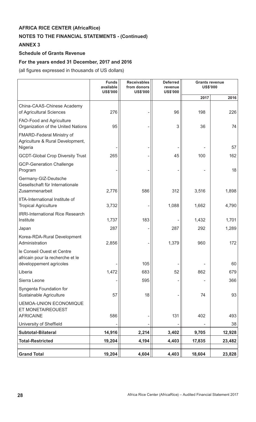# **NOTES TO THE FINANCIAL STATEMENTS - (Continued)**

# **ANNEX 3**

# **Schedule of Grants Revenue**

# **For the years ended 31 December, 2017 and 2016**

(all figures expressed in thousands of US dollars)

|                                                                                 | <b>Funds</b><br>available<br><b>US\$'000</b> | <b>Receivables</b><br>from donors<br><b>US\$'000</b> | <b>Deferred</b><br>revenue<br><b>US\$'000</b> | <b>Grants revenue</b><br><b>US\$'000</b> |           |
|---------------------------------------------------------------------------------|----------------------------------------------|------------------------------------------------------|-----------------------------------------------|------------------------------------------|-----------|
|                                                                                 |                                              |                                                      |                                               | 2017                                     | 2016      |
| China-CAAS-Chinese Academy<br>of Agricultural Sciences                          | 276                                          |                                                      | 96                                            | 198                                      | 226       |
| FAO-Food and Agriculture<br>Organization of the United Nations                  | 95                                           |                                                      | 3                                             | 36                                       | 74        |
| <b>FMARD-Federal Ministry of</b><br>Agriculture & Rural Development,<br>Nigeria |                                              |                                                      |                                               |                                          | 57        |
| <b>GCDT-Global Crop Diversity Trust</b>                                         | 265                                          |                                                      | 45                                            | 100                                      | 162       |
| <b>GCP-Generation Challenge</b><br>Program                                      |                                              |                                                      |                                               |                                          | 18        |
| Germany-GIZ-Deutsche<br>Gesellschaft für Internationale<br>Zusammenarbeit       | 2,776                                        | 586                                                  | 312                                           | 3,516                                    | 1,898     |
| IITA-International Institute of<br><b>Tropical Agriculture</b>                  | 3,732                                        |                                                      | 1,088                                         | 1,662                                    | 4,790     |
| <b>IRRI-International Rice Research</b><br>Institute                            | 1,737                                        | 183                                                  |                                               | 1,432                                    | 1,701     |
| Japan                                                                           | 287                                          |                                                      | 287                                           | 292                                      | 1,289     |
| Korea-RDA-Rural Development<br>Administration                                   | 2,856                                        |                                                      | 1,379                                         | 960                                      | 172       |
| le Conseil Ouest et Centre<br>africain pour la recherche et le                  |                                              |                                                      |                                               |                                          |           |
| développement agricoles<br>Liberia                                              |                                              | 105<br>683                                           | 52                                            | 862                                      | 60<br>679 |
| Sierra Leone                                                                    | 1,472                                        | 595                                                  |                                               |                                          | 366       |
| Syngenta Foundation for                                                         |                                              |                                                      |                                               |                                          |           |
| Sustainable Agriculture                                                         | 57                                           | 18                                                   |                                               | 74                                       | 93        |
| <b>UEMOA-UNION ECONOMIQUE</b><br>ET MONETAIREOUEST                              |                                              |                                                      |                                               |                                          |           |
| <b>AFRICAINE</b>                                                                | 586                                          |                                                      | 131                                           | 402                                      | 493       |
| University of Sheffield                                                         |                                              |                                                      |                                               |                                          | 38        |
| <b>Subtotal-Bilateral</b>                                                       | 14,916                                       | 2,214                                                | 3,402                                         | 9,705                                    | 12,928    |
| <b>Total-Restricted</b>                                                         | 19,204                                       | 4,194                                                | 4,403                                         | 17,835                                   | 23,482    |
| <b>Grand Total</b>                                                              | 19,204                                       | 4,604                                                | 4,403                                         | 18,604                                   | 23,828    |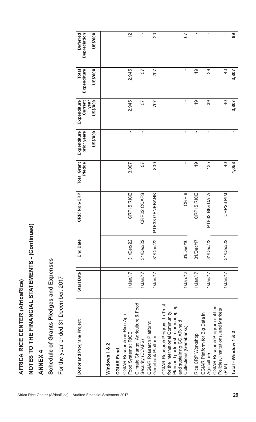| AFRICA RICE CENTER (AfricaRice)                                                                                                                                   |                   |                 |                   |                              |                                        |                                            |                                                |                                             |
|-------------------------------------------------------------------------------------------------------------------------------------------------------------------|-------------------|-----------------|-------------------|------------------------------|----------------------------------------|--------------------------------------------|------------------------------------------------|---------------------------------------------|
| NOTES TO THE FINANCIAL STATEMENTS - (Continued)                                                                                                                   |                   |                 |                   |                              |                                        |                                            |                                                |                                             |
| <b>ANNEX 4</b>                                                                                                                                                    |                   |                 |                   |                              |                                        |                                            |                                                |                                             |
| Schedule of Grants Pledges and Expenses                                                                                                                           |                   |                 |                   |                              |                                        |                                            |                                                |                                             |
| For the year ended 31 December, 2017                                                                                                                              |                   |                 |                   |                              |                                        |                                            |                                                |                                             |
| Donor and Program/ Project                                                                                                                                        | <b>Start Date</b> | <b>End Date</b> | CRP/Non-CRP       | <b>Total Grant</b><br>Pledge | Expenditure<br>US\$'000<br>prior years | Current<br>Expenditure<br>US\$'000<br>year | Expenditure<br><b>DO0.\$SN</b><br><b>Total</b> | <b>US\$'000</b><br>Depreciation<br>Deferred |
| Windows 1 & 2                                                                                                                                                     |                   |                 |                   |                              |                                        |                                            |                                                |                                             |
| CGIAR Research on Rice Agri-<br><b>CGIAR Fund</b>                                                                                                                 |                   |                 |                   |                              |                                        |                                            |                                                |                                             |
| Food Systems: RICE                                                                                                                                                | $1/$ Jan $/17$    | 31/Dec/22       | CRP15 RICE        | 3,007                        | $\blacksquare$                         | 2,945                                      | 2,945                                          | 2                                           |
| Climate Change, Agriculture & Food<br>Security (CCAFS)                                                                                                            | $1$ /Jan/17       | 31/Dec/22       | CRP22 CCAFS       | 57                           | ï                                      | 57                                         | 57                                             | $\mathbf{I}$                                |
| <b>CGIAR Research Platform:</b><br>Genebank Platform                                                                                                              | $1$ /Jan/17       | 31/Dec/22       | GENEBANK<br>PTF33 | 800                          | $\mathbf{I}$                           | 707                                        | 707                                            | $\overline{20}$                             |
| CGIAR Research Program: In Trust<br>Plan and partnership for managing<br>for the International Community:<br>and sustaining CGIAR-held<br>Collections (Genebanks) | 1/Jan/12          | 31/Dec/16       | CRP <sub>8</sub>  | $\mathbf{I}$                 | $\mathbf{I}$                           | I.                                         | $\mathbf I$                                    | 57                                          |
| Rice CRP Workshop                                                                                                                                                 | 1/Jan/17          | 31/Dec/17       | CRP15 RICE        | <u>ဝှ</u>                    | $\mathbf{I}$                           | $\overline{6}$                             | <u>ဝှ</u>                                      | $\mathbf{I}$                                |
| CGIAR Platform for Big Data in<br>Agriculture                                                                                                                     | 1/Jan/17          | 31/Dec/22       | PTF32 BIG DATA    | 135                          | $\mathbf I$                            | 39                                         | 39                                             | $\mathbf I$                                 |
| CGIAR Research Program entitled<br>Policies, Institutions, and Markets<br>(PIM)                                                                                   | $1$ /Jan/17       | 31/Dec/22       | CRP23 PIM         | $\overline{Q}$               | L.                                     | $\overline{0}$                             | $\overline{4}$                                 | $\mathbf I$                                 |
| $\mathbf{\Omega}$<br>×්<br>Total - Window 1                                                                                                                       |                   |                 |                   | 4,058                        |                                        | 3,807                                      | 3,807                                          | 99                                          |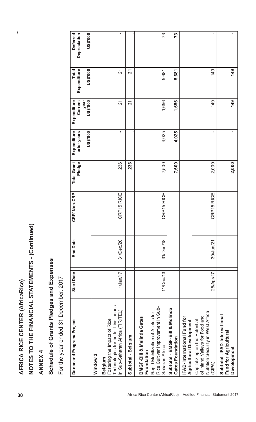$\overline{1}$ 

| 30                                                                 | AFRICA RICE CENTER (AfricaRice)                                                                                                                                                  |                   |                 |             |                              |                                        |                                            |                                         |                                             |
|--------------------------------------------------------------------|----------------------------------------------------------------------------------------------------------------------------------------------------------------------------------|-------------------|-----------------|-------------|------------------------------|----------------------------------------|--------------------------------------------|-----------------------------------------|---------------------------------------------|
|                                                                    | NOTES TO THE FINANCIAL STATEMENTS - (Continued)                                                                                                                                  |                   |                 |             |                              |                                        |                                            |                                         |                                             |
|                                                                    | <b>ANNEX4</b>                                                                                                                                                                    |                   |                 |             |                              |                                        |                                            |                                         |                                             |
|                                                                    | Schedule of Grants Pledges and Expenses                                                                                                                                          |                   |                 |             |                              |                                        |                                            |                                         |                                             |
|                                                                    | For the year ended 31 December, 2017                                                                                                                                             |                   |                 |             |                              |                                        |                                            |                                         |                                             |
|                                                                    | Donor and Program/ Project                                                                                                                                                       | <b>Start Date</b> | <b>End Date</b> | CRP/Non-CRP | <b>Total Grant</b><br>Pledge | Expenditure<br>US\$'000<br>prior years | Current<br>year<br>US\$'000<br>Expenditure | <b>Total</b><br>Expenditure<br>US\$'000 | US\$'000<br>Depreciation<br><b>Deferred</b> |
|                                                                    | Window <sub>3</sub>                                                                                                                                                              |                   |                 |             |                              |                                        |                                            |                                         |                                             |
|                                                                    | Technologies for better Livelihoods<br>in Sub-Saharan Africa (FIRITEL)<br>Fostering the Impact of Rice<br><b>Belgium</b>                                                         | $1$ /Jan/17       | 31/Dec/20       | CRP15 RICE  | 236                          | $\mathbf{I}$                           | $\overline{2}$                             | $\overline{21}$                         | T,                                          |
|                                                                    | Subtotal - Belgium                                                                                                                                                               |                   |                 |             | 236                          |                                        | 21                                         | 21                                      |                                             |
|                                                                    | Rice Cultivar Improvement in Sub-<br>Rapid Mobilization of Alleles for<br>BMGF-Bill & Melinda Gates<br>Saharan Africa<br>Foundation                                              | 11/Dec/13         | 31/Dec/18       | CRP15 RICE  | 7,500                        | 4,025                                  | 1,656                                      | 5,681                                   | 73                                          |
|                                                                    | Subtotal - BMGF-Bill & Melinda<br>Gates Foundation                                                                                                                               |                   |                 |             | 7,500                        | 4,025                                  | 1,656                                      | 5,681                                   | 73                                          |
| Africa Rice Center (AfricaRice) - Audited Financial Statement 2017 | Nutrition Security in West Africa<br>of Inland Valleys for Food and<br>IFAD-International Fund for<br><b>Agricultural Development</b><br>Capitalizing on the Potential<br>(CIPA) | 25/Apr/17         | 30/Jun/21       | CRP15 RICE  | 2,000                        | $\mathbf{I}$                           | 149                                        | 149                                     | $\mathbf{I}$                                |
|                                                                    | Subtotal -IFAD-International<br>Fund for Agricultural<br>Development                                                                                                             |                   |                 |             | 2,000                        | $\blacksquare$                         | 149                                        | 149                                     |                                             |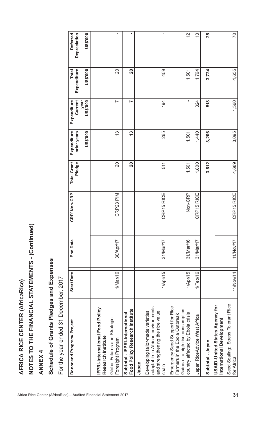| <b>AFRICA RICE CENTER (AfricaRice)</b>                                                                                                   |                   |                 |             |                              |                            |                                |                             |                                 |
|------------------------------------------------------------------------------------------------------------------------------------------|-------------------|-----------------|-------------|------------------------------|----------------------------|--------------------------------|-----------------------------|---------------------------------|
| NOTES TO THE FINANCIAL STATEMENTS - (Continued)                                                                                          |                   |                 |             |                              |                            |                                |                             |                                 |
| <b>ANNEX4</b>                                                                                                                            |                   |                 |             |                              |                            |                                |                             |                                 |
| Schedule of Grants Pledges and Expenses                                                                                                  |                   |                 |             |                              |                            |                                |                             |                                 |
| For the year ended 31 December, 2017                                                                                                     |                   |                 |             |                              |                            |                                |                             |                                 |
| Donor and Program/ Project                                                                                                               | <b>Start Date</b> | <b>End Date</b> | CRP/Non-CRP | <b>Total Grant</b><br>Pledge | Expenditure<br>prior years | Current<br>Expenditure<br>year | Expenditure<br><b>Total</b> | <b>Deferred</b><br>Depreciation |
|                                                                                                                                          |                   |                 |             |                              | <b>US\$'000</b>            | US\$'000                       | <b>DO0.\$SN</b>             | <b>US\$'000</b>                 |
| IFPRI-International Food Policy<br>Research Institute                                                                                    |                   |                 |             |                              |                            |                                |                             |                                 |
| Global Futures and Strategic<br>Foresight Program                                                                                        | 1/Mar/16          | 30/Apr/17       | CRP23 PIM   | $\overline{20}$              | <u>ကို</u>                 | $\overline{\phantom{0}}$       | $\overline{20}$             |                                 |
| Food Policy Research Institute<br>Subtotal - IFPRI-International                                                                         |                   |                 |             | 20                           | <u>ကို</u>                 | N                              | 20                          | ٠                               |
| Japan                                                                                                                                    |                   |                 |             |                              |                            |                                |                             |                                 |
| adaptable to African environments<br>Developing tailor-made varieties<br>and strengthening the rice value<br>chain                       | 1/Apr/15          | 31/Mar/17       | CRP15 RICE  | 511                          | 265                        | 194                            | 459                         |                                 |
| Emergency Seed Support for Rice<br>Guinea - a high rise consumption<br>country affected by Ebola crisis<br>Farmers in the Ebola Outbreak | 1/Apr/15          | 31/Mar/16       | Non-CRP     | 1,501                        | 1,501                      | $\blacksquare$                 | 1,501                       | 2                               |
| Japan RiceAdvice West Africa                                                                                                             | $1$ /Feb/16       | 31/Mar/17       | CRP15 RICE  | 1,800                        | 1,440                      | 324                            | 1,764                       | 13                              |
| Subtotal - Japan                                                                                                                         |                   |                 |             | 3,812                        | 3,206                      | 518                            | 3,724                       | 25                              |
| <b>USAID-United States Agency for</b><br>International Development                                                                       |                   |                 |             |                              |                            |                                |                             |                                 |
| Seed Scaling: Stress Tolerant Rice<br>for Africa                                                                                         | 11/Nov/14         | 11/Nov/17       | CRP15 RICE  | 4,689                        | 3,095                      | 1,560                          | 4,655                       | <b>PZ</b>                       |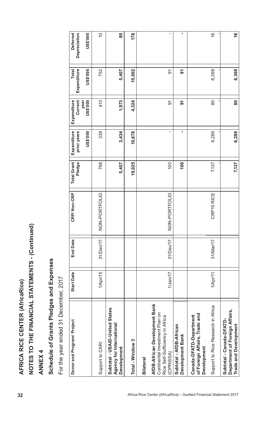| 32                                                                 | AFRICA RICE CENTER (AfricaRice)                                                                                                      |                   |                 |               |                              |                                               |                                                   |                                                |                                                    |
|--------------------------------------------------------------------|--------------------------------------------------------------------------------------------------------------------------------------|-------------------|-----------------|---------------|------------------------------|-----------------------------------------------|---------------------------------------------------|------------------------------------------------|----------------------------------------------------|
|                                                                    | NOTES TO THE FINANCIAL STATEMENTS - (Continued)                                                                                      |                   |                 |               |                              |                                               |                                                   |                                                |                                                    |
|                                                                    | <b>ANNEX4</b>                                                                                                                        |                   |                 |               |                              |                                               |                                                   |                                                |                                                    |
|                                                                    | Schedule of Grants Pledges and Expenses                                                                                              |                   |                 |               |                              |                                               |                                                   |                                                |                                                    |
|                                                                    | For the year ended 31 December, 2017                                                                                                 |                   |                 |               |                              |                                               |                                                   |                                                |                                                    |
|                                                                    | Donor and Program/ Project                                                                                                           | <b>Start Date</b> | <b>End Date</b> | CRP/Non-CRP   | <b>Total Grant</b><br>Pledge | Expenditure<br>prior years<br><b>US\$'000</b> | Expenditure<br>Current<br><b>US\$'000</b><br>year | <b>Total</b><br>Expenditure<br><b>US\$'000</b> | <b>Deferred</b><br><b>US\$'000</b><br>Depreciation |
|                                                                    | Support to CARI                                                                                                                      | 1/Apr/15          | 31/Dec/17       | NON-PORTFOLIO | 768                          | 339                                           | 413                                               | 752                                            | $\overline{C}$                                     |
|                                                                    | Subtotal - USAID-United States<br>Agency for International<br>Development                                                            |                   |                 |               | 5,457                        | 3,434                                         | 1,973                                             | 5,407                                          | 80                                                 |
|                                                                    | Total - Window 3                                                                                                                     |                   |                 |               | 19,025                       | 10,678                                        | 4,324                                             | 15,002                                         | 178                                                |
| Africa Rice Center (AfricaRice) - Audited Financial Statement 2017 | AfDB-African Development Bank<br>Continental Investment Plan on<br>Rice Self-Sufficiency in Africa<br>(CIPRISSA)<br><b>Bilateral</b> | $1$ /Jan/17       | 31/Dec/17       | NON-PORTFOLIO | 100                          | f.                                            | $\overline{5}$                                    | $\overline{5}$                                 | I.                                                 |
|                                                                    | Subtotal - AfDB-African<br>Development Bank                                                                                          |                   |                 |               | 100                          | ×                                             | $\overline{\mathbf{5}}$                           | 5                                              | л                                                  |
|                                                                    | Support to Rice Research in Africa<br>of Foreign Affairs, Trade and<br>Canada-DFATD-Department<br><b>Development</b>                 | 1/Apr/11          | 31/Mar/17       | CRP15 RICE    | 7,137                        | 6,289                                         | 80                                                | 6,369                                          | $\frac{1}{2}$                                      |
|                                                                    | Department of Foreign Affairs,<br>Subtotal - Canada-DFATD-<br>Trade and Development                                                  |                   |                 |               | 7,137                        | 6,289                                         | $\overline{\textbf{8}}$                           | 6,369                                          | $\frac{6}{5}$                                      |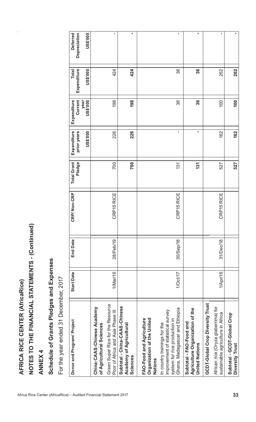|                                 |                                                 |               |                                         |                                      | Deferred<br>Depreciation<br>US\$'000       |                                                                                             | $\mathbf I$                       | ٠                                                                    |                                                                   | I.                                                                                                                                   | ×,                                                                                  | $\mathbf{I}$                                                                                                        | ×,                                             |
|---------------------------------|-------------------------------------------------|---------------|-----------------------------------------|--------------------------------------|--------------------------------------------|---------------------------------------------------------------------------------------------|-----------------------------------|----------------------------------------------------------------------|-------------------------------------------------------------------|--------------------------------------------------------------------------------------------------------------------------------------|-------------------------------------------------------------------------------------|---------------------------------------------------------------------------------------------------------------------|------------------------------------------------|
|                                 |                                                 |               |                                         |                                      | Expenditure<br>US\$'000<br><b>Total</b>    |                                                                                             | 424                               | 424                                                                  |                                                                   | 36                                                                                                                                   | 36                                                                                  | 262                                                                                                                 | 262                                            |
|                                 |                                                 |               |                                         |                                      | Current<br>Expenditure<br>US\$'000<br>year |                                                                                             | 198                               | 198                                                                  |                                                                   | 36                                                                                                                                   | 36                                                                                  | 100                                                                                                                 | 100                                            |
|                                 |                                                 |               |                                         |                                      | Expenditure<br>prior years<br>US\$'000     |                                                                                             | 226                               | 226                                                                  |                                                                   | ı                                                                                                                                    | f,                                                                                  | 162                                                                                                                 | 162                                            |
|                                 |                                                 |               |                                         |                                      | <b>Total Grant</b><br>Pledge               |                                                                                             | 700                               | 700                                                                  |                                                                   | $\overline{131}$                                                                                                                     | 131                                                                                 | 527                                                                                                                 | 527                                            |
|                                 |                                                 |               |                                         |                                      | CRP/Non-CRP                                |                                                                                             | CRP15 RICE                        |                                                                      |                                                                   | CRP15 RICE                                                                                                                           |                                                                                     | CRP15 RICE                                                                                                          |                                                |
|                                 |                                                 |               |                                         |                                      | <b>End Date</b>                            |                                                                                             | 28/Feb/19                         |                                                                      |                                                                   | 30/Sep/18                                                                                                                            |                                                                                     | 31/Dec/18                                                                                                           |                                                |
|                                 |                                                 |               |                                         |                                      | <b>Start Date</b>                          |                                                                                             | 1/Mar/16                          |                                                                      |                                                                   | 1/Oct/17                                                                                                                             |                                                                                     | 1/Apr/16                                                                                                            |                                                |
| AFRICA RICE CENTER (AfricaRice) | NOTES TO THE FINANCIAL STATEMENTS - (Continued) | <b>ANNEX4</b> | Schedule of Grants Pledges and Expenses | For the year ended 31 December, 2017 | Donor and Program/ Project                 | Green Super Rice for the Resource<br>China-CAAS-Chinese Academy<br>of Agricultural Sciences | Poor of Africa and Asia Phase III | Subtotal - China-CAAS-Chinese<br>Academy of Agricultural<br>Sciences | Organization of the United<br>FAO-Food and Agriculture<br>Nations | Ghana, Madagascar and Ethiopia<br>improvement of statistical survey<br>system for rice production in<br>In country trainings for the | Agriculture Organization of the<br>Subtotal - FAO-Food and<br><b>United Nations</b> | <b>GCDT-Global Crop Diversity Trust</b><br>African rice (Oryza glaberrima) for<br>sustainable agriculture in Africa | Subtotal - GCDT-Global Crop<br>Diversity Trust |
|                                 |                                                 |               |                                         |                                      |                                            | Africa Rice Center (AfricaRice) - Audited Financial Statement 2017                          |                                   |                                                                      |                                                                   |                                                                                                                                      |                                                                                     |                                                                                                                     | 33                                             |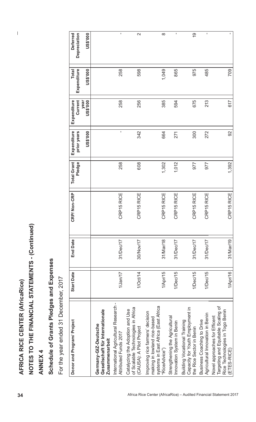| 34                                                                 | AFRICA RICE CENTER (AfricaRice)                                                                                          |                   |                 |             |                              |                                        |                                            |                                         |                                             |
|--------------------------------------------------------------------|--------------------------------------------------------------------------------------------------------------------------|-------------------|-----------------|-------------|------------------------------|----------------------------------------|--------------------------------------------|-----------------------------------------|---------------------------------------------|
|                                                                    | NOTES TO THE FINANCIAL STATEMENTS - (Continued)                                                                          |                   |                 |             |                              |                                        |                                            |                                         |                                             |
|                                                                    | <b>ANNEX4</b>                                                                                                            |                   |                 |             |                              |                                        |                                            |                                         |                                             |
|                                                                    | Schedule of Grants Pledges and Expenses                                                                                  |                   |                 |             |                              |                                        |                                            |                                         |                                             |
|                                                                    | For the year ended 31 December, 2017                                                                                     |                   |                 |             |                              |                                        |                                            |                                         |                                             |
|                                                                    | Donor and Program/ Project                                                                                               | <b>Start Date</b> | <b>End Date</b> | CRP/Non-CRP | <b>Total Grant</b><br>Pledge | Expenditure<br>US\$'000<br>prior years | Current<br>Expenditure<br>year<br>US\$'000 | Expenditure<br>US\$'000<br><b>Total</b> | <b>US\$'000</b><br>Deferred<br>Depreciation |
|                                                                    | International Agricultural Research -<br>Gesellschaft für Internationale<br>Germany-GIZ-Deutsche<br>Zusammenarbeit       |                   |                 |             |                              |                                        |                                            |                                         |                                             |
|                                                                    | Attributed Funds 2017                                                                                                    | $1/$ Jan/ $17$    | 31/Dec/17       | CRP15 RICE  | 258                          | f,                                     | 258                                        | 258                                     | f,                                          |
|                                                                    | of Scalable Technologies in Africa<br>Catalyzing the Adoption and Use<br>(CAUSA): A Pilot Project                        | 1/Oct/14          | 30/Nov/17       | CRP15 RICE  | 608                          | 342                                    | 256                                        | 598                                     | $\mathbf{\Omega}$                           |
|                                                                    | systems in East Africa (East Africa<br>Improving rice farmers' decision<br>making in lowland rice-based<br>"RiceAdvice") | 1/Apr/15          | 31/Mar/18       | CRP15 RICE  | 1,302                        | 664                                    | 385                                        | 1,049                                   | $\infty$                                    |
|                                                                    | Strengthening the Agricultural<br>Innovation System in Benin                                                             | 1/Dec/15          | 31/Dec/17       | CRP15 RICE  | 1,012                        | 271                                    | 594                                        | 865                                     | I,                                          |
|                                                                    | Capacity for Youth Employment in<br>Building Vocational Training<br>the Rice Sector in Benin                             | 1/Dec/15          | 31/Dec/17       | CRP15 RICE  | 977                          | 300                                    | 675                                        | 975                                     | $\overline{9}$                              |
|                                                                    | Agricultural Innovation in Benin<br><b>Business Coaching to Drive</b>                                                    | 1/Dec/15          | 31/Dec/17       | CRP15 RICE  | 977                          | 272                                    | 213                                        | 485                                     | I.                                          |
| Africa Rice Center (AfricaRice) - Audited Financial Statement 2017 | Targeting and Equitable Scaling of<br>Rice Technologies in Togo Benin<br>Novel approaches for Efficent<br>(ETES-RICE)    | 1/Apr/16          | 31/Mar/19       | CRP15 RICE  | 1,392                        | 92                                     | 617                                        | 709                                     | $\mathbf I$                                 |
|                                                                    |                                                                                                                          |                   |                 |             |                              |                                        |                                            |                                         |                                             |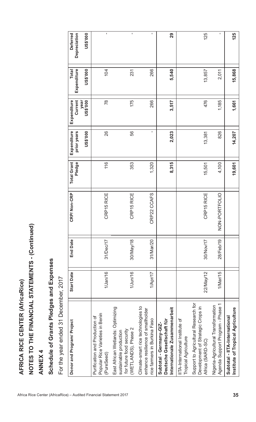|                                                                    | AFRICA RICE CENTER (AfricaRice)                                                                                |                   |                 |                        |                              |                            |                                |                      |                                 |
|--------------------------------------------------------------------|----------------------------------------------------------------------------------------------------------------|-------------------|-----------------|------------------------|------------------------------|----------------------------|--------------------------------|----------------------|---------------------------------|
|                                                                    | NOTES TO THE FINANCIAL STATEMENTS - (Continued)                                                                |                   |                 |                        |                              |                            |                                |                      |                                 |
|                                                                    | <b>ANNEX4</b>                                                                                                  |                   |                 |                        |                              |                            |                                |                      |                                 |
|                                                                    | Schedule of Grants Pledges and Expenses                                                                        |                   |                 |                        |                              |                            |                                |                      |                                 |
|                                                                    | For the year ended 31 December, 2017                                                                           |                   |                 |                        |                              |                            |                                |                      |                                 |
|                                                                    | Donor and Program/ Project                                                                                     | <b>Start Date</b> | <b>End Date</b> | CRP/Non-CRP            | <b>Total Grant</b><br>Pledge | Expenditure<br>prior years | Current<br>Expenditure<br>year | Expenditure<br>Total | Depreciation<br><b>Deferred</b> |
|                                                                    |                                                                                                                |                   |                 |                        |                              | <b>US\$'000</b>            | <b>US\$'000</b>                | US\$'000             | <b>US\$'000</b>                 |
| Africa Rice Center (AfricaRice) - Audited Financial Statement 2017 | Popular Rice Varieties in Benin<br>Purification and Production of<br>(PureSeed)                                | $1/$ Jan/16       | 31/Dec/17       | CRP15 RICE             | 116                          | 26                         | $\frac{8}{2}$                  | 104                  | $\mathbf I$                     |
|                                                                    | East African Wetlands: Optimizing<br>(WETLANDS), Phase 2<br>for future food security<br>sustainable production | $1/$ Jun $/16$    | $30$ /May/18    | CRP15 RICE             | 353                          | 56                         | 175                            | 231                  | $\mathbf{I}$                    |
|                                                                    | Climate-smart rice technologies to<br>enhance resilience of smallholder<br>rice farmers in Burkina Faso        | 1/Apr/17          | 31/Mar/20       | P22 CCAFS<br><b>CR</b> | 1,320                        | $\blacksquare$             | 266                            | 266                  | $\blacksquare$                  |
|                                                                    | Internationale Zusammenarbeit<br>Deutsche Gesellschaft für<br>Subtotal - Germany-GIZ-                          |                   |                 |                        | 8,315                        | 2,023                      | 3,517                          | 5,540                | 29                              |
|                                                                    | IITA-International Institute of<br><b>Tropical Agriculture</b>                                                 |                   |                 |                        |                              |                            |                                |                      |                                 |
|                                                                    | Support to Agricultural Research for<br>Development of Strategic Crops in<br>Africa (SARD-SC)                  | 22/May/12         | 30/Nov/17       | CRP15 RICE             | 15,501                       | 13,381                     | 476                            | 13,857               | 125                             |
|                                                                    | Agenda Support Program - Phase 1<br>Nigeria-Agricultural Transformation                                        | 1/Mar/15          | 28/Feb/19       | NON-PORTFOLIO          | 4,100                        | 826                        | 1,185                          | 2,011                | 1                               |
| 35                                                                 | Institute of Tropical Agriculture<br>Subtotal - IITA-International                                             |                   |                 |                        | 19,601                       | 14,207                     | 1,661                          | 15,868               | 125                             |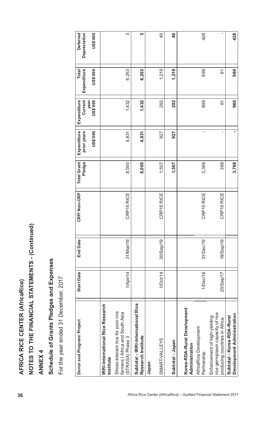| 36                                                                 | <b>AFRICA RICE CENTER (AfricaRice)</b>                                                                                        |                   |                 |                             |                              |                                               |                                                   |                                                |                                             |  |
|--------------------------------------------------------------------|-------------------------------------------------------------------------------------------------------------------------------|-------------------|-----------------|-----------------------------|------------------------------|-----------------------------------------------|---------------------------------------------------|------------------------------------------------|---------------------------------------------|--|
|                                                                    | NOTES TO THE FINANCIAL STATEMENTS - (Continued)                                                                               |                   |                 |                             |                              |                                               |                                                   |                                                |                                             |  |
|                                                                    | <b>ANNEX4</b>                                                                                                                 |                   |                 |                             |                              |                                               |                                                   |                                                |                                             |  |
|                                                                    | Schedule of Grants Pledges and Expenses                                                                                       |                   |                 |                             |                              |                                               |                                                   |                                                |                                             |  |
|                                                                    | For the year ended 31 December, 2017                                                                                          |                   |                 |                             |                              |                                               |                                                   |                                                |                                             |  |
|                                                                    | Donor and Program/ Project                                                                                                    | <b>Start Date</b> | <b>End Date</b> | P/ Non-CRP<br>GR            | <b>Total Grant</b><br>Pledge | Expenditure<br>prior years<br><b>US\$'000</b> | Current<br>year<br>Expenditure<br><b>000.\$SN</b> | Expenditure<br><b>000.\$SN</b><br><b>Total</b> | Depreciation<br><b>US\$'000</b><br>Deferred |  |
|                                                                    | <b>IRRI-International Rice Research</b><br>Stress-tolerant rice for poor rice<br>farmers I Africa and South Asia<br>Institute |                   |                 |                             |                              |                                               |                                                   |                                                |                                             |  |
|                                                                    | Subtotal - IRRI-International Rice<br>Research Institute<br>(STRASA) Phase 3                                                  | 1/Apr/14          | 31/Mar/19       | RP15 RICE<br>O              | 8,000<br>8,000               | 4,831<br>4,831                                | 1,432<br>1,432                                    | 6,263<br>6,263                                 | က<br>S                                      |  |
|                                                                    | SMART-VALLEYS<br>Japan                                                                                                        | 1/Oct/14          | 30/Sep/19       | CRP15 RICE                  | 1,507                        | 927                                           | 292                                               | 1,219                                          | $\overline{4}$                              |  |
|                                                                    | Subtotal - Japan                                                                                                              |                   |                 |                             | 1,507                        | 927                                           | 292                                               | 1,219                                          | $\overline{\mathbf{r}}$                     |  |
| Africa Rice Center (AfricaRice) - Audited Financial Statement 2017 | Korea-RDA-Rural Development<br>AfricaRice Development<br>Administration<br>Partnership                                        | 1/Dec/16          | 31/Dec/19       | RP15 RICE<br>$\circ$        | 3,369                        | f,                                            | 899                                               | 899                                            | 428                                         |  |
|                                                                    | rice germplasm capacity of rice<br>Enhancement of high-yielding<br>producing countries in Africa                              | 20/Sep/17         | 19/Sep/19       | <b>RP15 RICE</b><br>$\circ$ | 399                          | $\mathbf{I}$                                  | 61                                                | 61                                             | f,                                          |  |
|                                                                    | Development Administration<br>Subtotal - Korea-RDA-Rural                                                                      |                   |                 |                             | 3,768                        | ٠,                                            | 960                                               | 960                                            | 428                                         |  |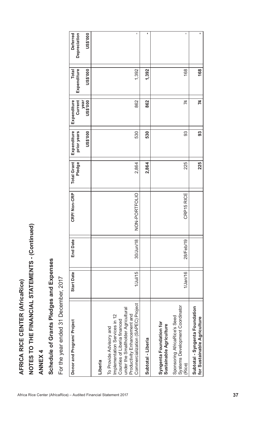| Schedule of Grants Pledges and Expenses<br><b>ANNEX4</b>                                                                                                                                            |                   |                 |               |                              |                                        |                                            |                                         |                                             |
|-----------------------------------------------------------------------------------------------------------------------------------------------------------------------------------------------------|-------------------|-----------------|---------------|------------------------------|----------------------------------------|--------------------------------------------|-----------------------------------------|---------------------------------------------|
| For the year ended 31 December, 2017                                                                                                                                                                |                   |                 |               |                              |                                        |                                            |                                         |                                             |
| Donor and Program/ Project                                                                                                                                                                          | <b>Start Date</b> | <b>End Date</b> | CRP/Non-CRP   | <b>Total Grant</b><br>Pledge | Expenditure<br>prior years<br>US\$'000 | Current<br>year<br>Expenditure<br>US\$'000 | Expenditure<br><b>Total</b><br>US\$'000 | Depreciation<br>US\$'000<br><b>Deferred</b> |
| Liberia                                                                                                                                                                                             |                   |                 |               |                              |                                        |                                            |                                         |                                             |
| Commercialization (SAPEC) Project<br>under the Smallholder Agricultural<br>Productivity Enhancement and<br>Implementation Services in 12<br>Counties of Liberia financed<br>To Provide Advisory and | $1$ /Jul/15       | 30/Jun/18       | NON-PORTFOLIO | 2,864                        | 530                                    | 862                                        | 1,392                                   |                                             |
| Subtotal - Liberia                                                                                                                                                                                  |                   |                 |               | 2,864                        | 530                                    | 862                                        | 1,392                                   |                                             |
| Syngenta Foundation for<br>Sustainable Agriculture                                                                                                                                                  |                   |                 |               |                              |                                        |                                            |                                         |                                             |
| Systems Development Coordinator<br>Sponsoring AfricaRice's Seed<br>(Rice)                                                                                                                           | $1/$ Jan $/16$    | 28/Feb/19       | CRP15 RICE    | 225                          | 93                                     | 74                                         | 168                                     |                                             |
| Subtotal - Syngenta Foundation<br>for Sustainable Agriculture                                                                                                                                       |                   |                 |               | 225                          | 33                                     | 74                                         | 168                                     |                                             |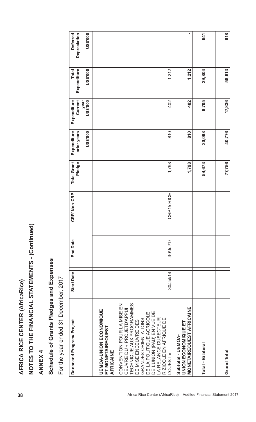| AFRICA RICE CENTER (AfricaRice)                                                                                                                                                                                                                              |                   |                 |             |                              |                                        |                                            |                                         |                                             |
|--------------------------------------------------------------------------------------------------------------------------------------------------------------------------------------------------------------------------------------------------------------|-------------------|-----------------|-------------|------------------------------|----------------------------------------|--------------------------------------------|-----------------------------------------|---------------------------------------------|
| NOTES TO THE FINANCIAL STATEMENTS - (Continued)                                                                                                                                                                                                              |                   |                 |             |                              |                                        |                                            |                                         |                                             |
| <b>ANNEX4</b>                                                                                                                                                                                                                                                |                   |                 |             |                              |                                        |                                            |                                         |                                             |
| Schedule of Grants Pledges and Expenses                                                                                                                                                                                                                      |                   |                 |             |                              |                                        |                                            |                                         |                                             |
| For the year ended 31 December, 2017                                                                                                                                                                                                                         |                   |                 |             |                              |                                        |                                            |                                         |                                             |
| Donor and Program/ Project                                                                                                                                                                                                                                   | <b>Start Date</b> | <b>End Date</b> | CRP/Non-CRP | <b>Total Grant</b><br>Pledge | Expenditure<br>prior years<br>US\$'000 | Current<br>US\$'000<br>Expenditure<br>year | Expenditure<br><b>Total</b><br>US\$'000 | US\$'000<br>Depreciation<br><b>Deferred</b> |
| <b>UEMOA-UNION ECONOMIQUE</b><br>ET MONETAIREOUEST<br><b>AFRICAINE</b>                                                                                                                                                                                       |                   |                 |             |                              |                                        |                                            |                                         |                                             |
| TECHNIQUE AUX PROGRAMMES<br>CONVENTION POUR LA MISE EN<br>CEUVRE DU « PROJETD'APPUI<br>DE L'UNION (PAU) EN VUE DE<br>DE LA POLITIQUE AGRICOLE<br>LA RELANCE DUSECTEUR<br>RIZICOLE EN AFRIQUE DE<br>GRANDES ORIENTATIONS<br>DE MISE ENCEUVRE DES<br>L'OUEST » | 30/Jul/14         | 30/Jul/17       | CRP15 RICE  | 1,798                        | 810                                    | 402                                        | 1,212                                   | I.                                          |
| <b>MONETAIREOUEST AFRICAINE</b><br>UNION ECONOMIQUE ET<br>Subtotal - UEMOA-                                                                                                                                                                                  |                   |                 |             | 1,798                        | 810                                    | 402                                        | 1,212                                   | ٠                                           |
| <b>Total - Bilateral</b>                                                                                                                                                                                                                                     |                   |                 |             | 54,673                       | 30,098                                 | 9,705                                      | 39,804                                  | 641                                         |
| <b>Grand Total</b>                                                                                                                                                                                                                                           |                   |                 |             | 77,756                       | 40,776                                 | 17,836                                     | 58,613                                  | 918                                         |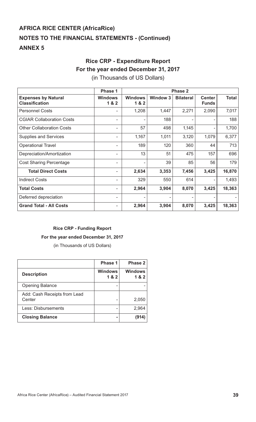# **Rice CRP - Expenditure Report For the year ended December 31, 2017**

(in Thousands of US Dollars)

|                                                     | Phase 1                 |                         |                 | Phase 2          |                               |              |
|-----------------------------------------------------|-------------------------|-------------------------|-----------------|------------------|-------------------------------|--------------|
| <b>Expenses by Natural</b><br><b>Classification</b> | <b>Windows</b><br>1 & 2 | <b>Windows</b><br>1 & 2 | <b>Window 3</b> | <b>Bilateral</b> | <b>Center</b><br><b>Funds</b> | <b>Total</b> |
| <b>Personnel Costs</b>                              |                         | 1,208                   | 1,447           | 2,271            | 2,090                         | 7,017        |
| <b>CGIAR Collaboration Costs</b>                    |                         |                         | 188             |                  |                               | 188          |
| <b>Other Collaboration Costs</b>                    | ۰                       | 57                      | 498             | 1,145            |                               | 1,700        |
| <b>Supplies and Services</b>                        | ٠                       | 1,167                   | 1,011           | 3,120            | 1,079                         | 6,377        |
| <b>Operational Travel</b>                           | ۰                       | 189                     | 120             | 360              | 44                            | 713          |
| Depreciation/Amortization                           | ٠                       | 13                      | 51              | 475              | 157                           | 696          |
| <b>Cost Sharing Percentage</b>                      |                         |                         | 39              | 85               | 56                            | 179          |
| <b>Total Direct Costs</b>                           | -                       | 2,634                   | 3,353           | 7,456            | 3,425                         | 16,870       |
| <b>Indirect Costs</b>                               | ۰                       | 329                     | 550             | 614              |                               | 1,493        |
| <b>Total Costs</b>                                  |                         | 2,964                   | 3,904           | 8,070            | 3,425                         | 18,363       |
| Deferred depreciation                               |                         |                         |                 |                  |                               |              |
| <b>Grand Total - All Costs</b>                      |                         | 2,964                   | 3,904           | 8,070            | 3,425                         | 18,363       |

# **Rice CRP - Funding Report**

# **For the year ended December 31, 2017**

(in Thousands of US Dollars)

|                                        | Phase 1               | Phase 2               |
|----------------------------------------|-----------------------|-----------------------|
| <b>Description</b>                     | <b>Windows</b><br>1&2 | <b>Windows</b><br>1&2 |
| <b>Opening Balance</b>                 |                       |                       |
| Add: Cash Receipts from Lead<br>Center |                       | 2,050                 |
| Less: Disbursements                    |                       | 2,964                 |
| <b>Closing Balance</b>                 |                       | (914)                 |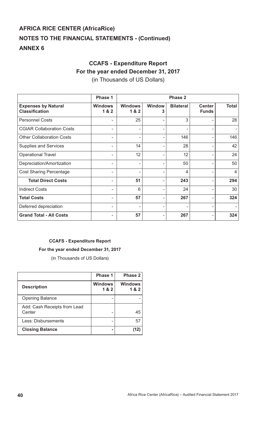# **CCAFS - Expenditure Report For the year ended December 31, 2017**

(in Thousands of US Dollars)

|                                                     | Phase 1                 |                         |                    | Phase 2          |                               |                |
|-----------------------------------------------------|-------------------------|-------------------------|--------------------|------------------|-------------------------------|----------------|
| <b>Expenses by Natural</b><br><b>Classification</b> | <b>Windows</b><br>1 & 2 | <b>Windows</b><br>1 & 2 | <b>Window</b><br>3 | <b>Bilateral</b> | <b>Center</b><br><b>Funds</b> | <b>Total</b>   |
| <b>Personnel Costs</b>                              |                         | 25                      |                    | 3                |                               | 28             |
| <b>CGIAR Collaboration Costs</b>                    | -                       |                         |                    |                  |                               |                |
| <b>Other Collaboration Costs</b>                    |                         |                         |                    | 146              |                               | 146            |
| <b>Supplies and Services</b>                        | ۰                       | 14                      |                    | 28               | -                             | 42             |
| <b>Operational Travel</b>                           |                         | 12                      | -                  | 12               |                               | 24             |
| Depreciation/Amortization                           | ۰                       | ۰                       | -                  | 50               | ۰                             | 50             |
| <b>Cost Sharing Percentage</b>                      | -                       | -                       | -                  | 4                | ۰.                            | $\overline{4}$ |
| <b>Total Direct Costs</b>                           | ۰                       | 51                      | ۰                  | 243              | ۰                             | 294            |
| <b>Indirect Costs</b>                               | ۰                       | 6                       | ۰                  | 24               | ۰                             | 30             |
| <b>Total Costs</b>                                  | ۰                       | 57                      | ۰                  | 267              | ۰                             | 324            |
| Deferred depreciation                               | ۰                       | ۰                       | ۰                  | ۰                | -                             |                |
| <b>Grand Total - All Costs</b>                      |                         | 57                      |                    | 267              |                               | 324            |

# **CCAFS - Expenditure Report**

# **For the year ended December 31, 2017**

(in Thousands of US Dollars)

|                                        | <b>Phase 1</b>          | Phase 2               |
|----------------------------------------|-------------------------|-----------------------|
| <b>Description</b>                     | <b>Windows</b><br>1 & 2 | <b>Windows</b><br>1&2 |
| <b>Opening Balance</b>                 |                         |                       |
| Add: Cash Receipts from Lead<br>Center |                         | 45                    |
| Less: Disbursements                    |                         | 57                    |
| <b>Closing Balance</b>                 |                         | 12                    |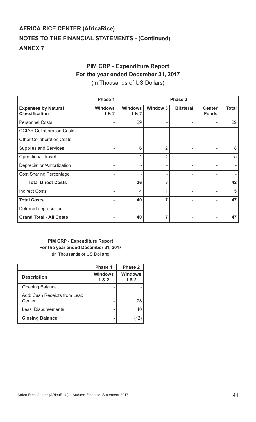# **PIM CRP - Expenditure Report**

# **For the year ended December 31, 2017**

(in Thousands of US Dollars)

|                                                     | Phase 1                 |                        |                 | Phase 2          |                               |              |
|-----------------------------------------------------|-------------------------|------------------------|-----------------|------------------|-------------------------------|--------------|
| <b>Expenses by Natural</b><br><b>Classification</b> | <b>Windows</b><br>1 & 2 | <b>Windows</b><br>18.2 | <b>Window 3</b> | <b>Bilateral</b> | <b>Center</b><br><b>Funds</b> | <b>Total</b> |
| <b>Personnel Costs</b>                              |                         | 29                     |                 |                  |                               | 29           |
| <b>CGIAR Collaboration Costs</b>                    | -                       |                        |                 |                  |                               |              |
| <b>Other Collaboration Costs</b>                    |                         |                        |                 |                  |                               |              |
| <b>Supplies and Services</b>                        |                         | 6                      | $\overline{2}$  |                  |                               | 8            |
| <b>Operational Travel</b>                           |                         | 1                      | $\overline{4}$  |                  | -                             | 5            |
| Depreciation/Amortization                           |                         |                        | ۰               |                  |                               |              |
| <b>Cost Sharing Percentage</b>                      |                         |                        |                 |                  | -                             |              |
| <b>Total Direct Costs</b>                           | ۰                       | 36                     | 6               | ۰                |                               | 42           |
| <b>Indirect Costs</b>                               |                         | 4                      | 1               | ٠                |                               | 5            |
| <b>Total Costs</b>                                  |                         | 40                     | $\overline{7}$  | ٠                |                               | 47           |
| Deferred depreciation                               |                         |                        |                 |                  |                               |              |
| <b>Grand Total - All Costs</b>                      |                         | 40                     | 7               |                  |                               | 47           |

# **PIM CRP - Expenditure Report For the year ended December 31, 2017**  (in Thousands of US Dollars)

|                                        | Phase 1                 | Phase 2               |
|----------------------------------------|-------------------------|-----------------------|
| <b>Description</b>                     | <b>Windows</b><br>1 & 2 | <b>Windows</b><br>1&2 |
| <b>Opening Balance</b>                 |                         |                       |
| Add: Cash Receipts from Lead<br>Center |                         | 28                    |
| Less: Disbursements                    |                         | 40                    |
| <b>Closing Balance</b>                 |                         | (12)                  |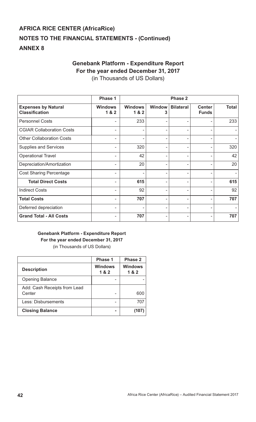# **Genebank Platform - Expenditure Report For the year ended December 31, 2017**

(in Thousands of US Dollars)

|                                                     | Phase 1                 |                         |                    | <b>Phase 2</b>   |                               |              |
|-----------------------------------------------------|-------------------------|-------------------------|--------------------|------------------|-------------------------------|--------------|
| <b>Expenses by Natural</b><br><b>Classification</b> | <b>Windows</b><br>1 & 2 | <b>Windows</b><br>1 & 2 | <b>Window</b><br>3 | <b>Bilateral</b> | <b>Center</b><br><b>Funds</b> | <b>Total</b> |
| <b>Personnel Costs</b>                              |                         | 233                     |                    |                  |                               | 233          |
| <b>CGIAR Collaboration Costs</b>                    | ۰                       | ٠                       | ۰                  |                  |                               |              |
| <b>Other Collaboration Costs</b>                    |                         |                         | ۰                  |                  |                               |              |
| <b>Supplies and Services</b>                        |                         | 320                     | ۰                  |                  |                               | 320          |
| <b>Operational Travel</b>                           | -                       | 42                      | ۰                  |                  |                               | 42           |
| Depreciation/Amortization                           |                         | 20                      | ۰.                 |                  |                               | 20           |
| <b>Cost Sharing Percentage</b>                      | ۰                       | ٠                       | ٠                  |                  |                               |              |
| <b>Total Direct Costs</b>                           | ۰                       | 615                     | ۰.                 | ۰                |                               | 615          |
| <b>Indirect Costs</b>                               | ۰                       | 92                      | ٠                  | ۰                | ۰                             | 92           |
| <b>Total Costs</b>                                  |                         | 707                     | ۰                  |                  |                               | 707          |
| Deferred depreciation                               | ۰                       | ٠                       | ۰                  |                  |                               |              |
| <b>Grand Total - All Costs</b>                      |                         | 707                     | ۰                  |                  |                               | 707          |

# **Genebank Platform - Expenditure Report For the year ended December 31, 2017**  (in Thousands of US Dollars)

|                                        | <b>Phase 1</b>        | <b>Phase 2</b>        |
|----------------------------------------|-----------------------|-----------------------|
| <b>Description</b>                     | <b>Windows</b><br>1&2 | <b>Windows</b><br>1&2 |
| <b>Opening Balance</b>                 |                       |                       |
| Add: Cash Receipts from Lead<br>Center |                       | 600                   |
| Less: Disbursements                    |                       | 707                   |
| <b>Closing Balance</b>                 |                       | (107)                 |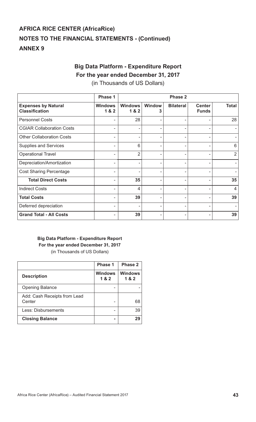# **Big Data Platform - Expenditure Report For the year ended December 31, 2017**

(in Thousands of US Dollars)

|                                                     | Phase 1                 |                         |                    | <b>Phase 2</b>   |                               |                |
|-----------------------------------------------------|-------------------------|-------------------------|--------------------|------------------|-------------------------------|----------------|
| <b>Expenses by Natural</b><br><b>Classification</b> | <b>Windows</b><br>1 & 2 | <b>Windows</b><br>1 & 2 | <b>Window</b><br>3 | <b>Bilateral</b> | <b>Center</b><br><b>Funds</b> | <b>Total</b>   |
| <b>Personnel Costs</b>                              |                         | 28                      |                    |                  |                               | 28             |
| <b>CGIAR Collaboration Costs</b>                    |                         |                         | ۰                  |                  |                               |                |
| <b>Other Collaboration Costs</b>                    |                         |                         |                    |                  |                               |                |
| <b>Supplies and Services</b>                        |                         | 6                       |                    |                  |                               | 6              |
| <b>Operational Travel</b>                           |                         | $\overline{2}$          |                    |                  |                               | $\overline{2}$ |
| Depreciation/Amortization                           |                         |                         | ۰                  |                  |                               |                |
| <b>Cost Sharing Percentage</b>                      | -                       | ۰                       | ٠                  |                  |                               |                |
| <b>Total Direct Costs</b>                           |                         | 35                      | ۰                  |                  |                               | 35             |
| <b>Indirect Costs</b>                               |                         | 4                       | ٠                  |                  |                               | $\overline{4}$ |
| <b>Total Costs</b>                                  |                         | 39                      | ۰                  |                  |                               | 39             |
| Deferred depreciation                               |                         |                         |                    |                  |                               |                |
| <b>Grand Total - All Costs</b>                      |                         | 39                      |                    |                  |                               | 39             |

# **Big Data Platform - Expenditure Report For the year ended December 31, 2017**  (in Thousands of US Dollars)

|                                        | Phase 1                 | Phase 2                 |
|----------------------------------------|-------------------------|-------------------------|
| <b>Description</b>                     | <b>Windows</b><br>1 & 2 | <b>Windows</b><br>1 & 2 |
| <b>Opening Balance</b>                 |                         |                         |
| Add: Cash Receipts from Lead<br>Center |                         | 68                      |
| Less: Disbursements                    |                         | 39                      |
| <b>Closing Balance</b>                 |                         | 29                      |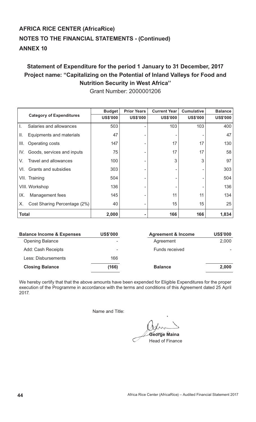# **Statement of Expenditure for the period 1 January to 31 December, 2017 Project name: "Capitalizing on the Potential of Inland Valleys for Food and Nutrition Security in West Africa''**

|                                    | <b>Budget</b>   | <b>Prior Years</b> | <b>Current Year</b> | <b>Cumulative</b> | <b>Balance</b>  |
|------------------------------------|-----------------|--------------------|---------------------|-------------------|-----------------|
| <b>Category of Expenditures</b>    | <b>US\$'000</b> | <b>US\$'000</b>    | <b>US\$'000</b>     | <b>US\$'000</b>   | <b>US\$'000</b> |
| Salaries and allowances            | 503             | ۰                  | 103                 | 103               | 400             |
| II.<br>Equipments and materials    | 47              |                    |                     |                   | 47              |
| III.<br>Operating costs            | 147             |                    | 17                  | 17                | 130             |
| IV.<br>Goods, services and inputs  | 75              |                    | 17                  | 17                | 58              |
| Travel and allowances<br>V.        | 100             |                    | 3                   | 3                 | 97              |
| Grants and subsidies<br>VI.        | 303             |                    |                     |                   | 303             |
| VII. Training                      | 504             |                    |                     |                   | 504             |
| VIII. Workshop                     | 136             | -                  |                     |                   | 136             |
| IX.<br>Management fees             | 145             |                    | 11                  | 11                | 134             |
| Cost Sharing Percentage (2%)<br>Х. | 40              |                    | 15                  | 15                | 25              |
| <b>Total</b>                       | 2,000           |                    | 166                 | 166               | 1,834           |

Grant Number: 2000001206

| <b>Balance Income &amp; Expenses</b> | <b>US\$'000</b> | <b>Agreement &amp; Income</b> | <b>US\$'000</b> |
|--------------------------------------|-----------------|-------------------------------|-----------------|
| <b>Opening Balance</b>               | ۰               | Agreement                     | 2,000           |
| Add: Cash Receipts                   | ۰               | Funds received                |                 |
| Less: Disbursements                  | 166             |                               |                 |
| <b>Closing Balance</b>               | (166)           | <b>Balance</b>                | 2,000           |

We hereby certify that that the above amounts have been expended for Eligible Expenditures for the proper execution of the Programme in accordance with the terms and conditions of this Agreement dated 25 April 2017.

Name and Title:

í **George Maina** Head of Finance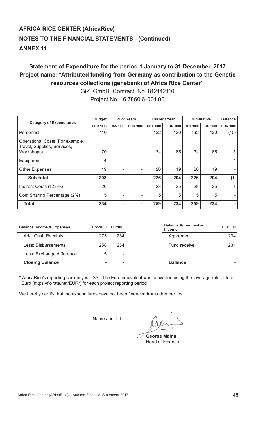# **Statement of Expenditure for the period 1 January to 31 December, 2017 Project name: "Attributed funding from Germany as contribution to the Genetic resources collections (genebank) of Africa Rice Center''**

GiZ GmbH Contract No. 812142110 Project No. 16.7860.6-001.00

| <b>Category of Expenditures</b>                                | <b>Budget</b>   |                  | <b>Prior Years</b> | <b>Current Year</b> |                 | <b>Cumulative</b> |                 | <b>Balance</b>  |
|----------------------------------------------------------------|-----------------|------------------|--------------------|---------------------|-----------------|-------------------|-----------------|-----------------|
|                                                                | <b>EUR '000</b> | <b>US\$ '000</b> | <b>EUR '000</b>    | <b>US\$ '000</b>    | <b>EUR '000</b> | <b>US\$ '000</b>  | <b>EUR '000</b> | <b>EUR '000</b> |
| Personnel                                                      | 110             |                  | ۰                  | 132                 | 120             | 132               | 120             | (10)            |
| Operational Costs (For example:<br>Travel, Supplies, Services, |                 |                  |                    |                     |                 |                   |                 |                 |
| Workshops)                                                     | 70              |                  |                    | 74                  | 65              | 74                | 65              | 5               |
| Equipment                                                      | 4               |                  |                    | ۰                   |                 |                   |                 | 4               |
| <b>Other Expenses</b>                                          | 19              |                  | ۰                  | 20                  | 19              | 20                | 19              |                 |
| Sub-total                                                      | 203             |                  | $\blacksquare$     | 226                 | 204             | 226               | 204             | (1)             |
| Indirect Costs (12.5%)                                         | 26              |                  |                    | 28                  | 25              | 28                | 25              | 1               |
| Cost Sharing Percentage (2%)                                   | 5               | ۰                | ۰                  | 5                   | 5               | 5                 | 5               |                 |
| <b>Total</b>                                                   | 234             |                  | ۰                  | 259                 | 234             | 259               | 234             |                 |

| <b>Balance Income &amp; Expenses</b> | <b>US\$'000</b> | Eur'000 | <b>Balance Agreement &amp;</b><br><b>Income</b> | Eur'000 |
|--------------------------------------|-----------------|---------|-------------------------------------------------|---------|
| Add: Cash Receipts                   | 273             | 234     | Agreement                                       | 234     |
| Less: Disbursements                  | 258             | 234     | <b>Fund receive</b>                             | 234     |
| Less: Exchange difference            | 15              | ۰       |                                                 |         |
| <b>Closing Balance</b>               |                 | ۰       | <b>Balance</b>                                  |         |
|                                      |                 |         |                                                 |         |

\* AfricaRice's reporting currency is US\$. The Euro equivalent was converted using the average rate of Info Euro (https://fx-rate.net/EUR/) for each project reporting period

We hereby certify that the expenditures have not been financed from other parties.

**Example 2018** Superior State 2019 Name and Title:

**George Maina** Head of Finance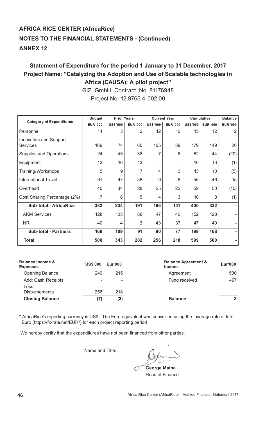# **Statement of Expenditure for the period 1 January to 31 December, 2017 Project Name: "Catalyzing the Adoption and Use of Scalable technologies in Africa (CAUSA): A pilot project"**

GiZ GmbH Contract No. 81176948 Project No. 12.9765.4-002.00

| <b>Category of Expenditures</b> | <b>Budget</b>   | <b>Prior Years</b> |                 | <b>Current Year</b> |                 | <b>Cumulative</b> |                 | <b>Balance</b>  |
|---------------------------------|-----------------|--------------------|-----------------|---------------------|-----------------|-------------------|-----------------|-----------------|
|                                 | <b>EUR '000</b> | <b>US\$ '000</b>   | <b>EUR '000</b> | <b>US\$ '000</b>    | <b>EUR '000</b> | <b>US\$ '000</b>  | <b>EUR '000</b> | <b>EUR '000</b> |
| Personnel                       | 14              | 3                  | 2               | 12                  | 10              | 15                | 12              | 2               |
| Innovation and Support          |                 |                    |                 |                     |                 |                   |                 |                 |
| <b>Services</b>                 | 169             | 74                 | 60              | 105                 | 89              | 179               | 149             | 20              |
| <b>Supplies and Operations</b>  | 24              | 45                 | 38              | 7                   | 6               | 52                | 44              | (20)            |
| Equipment                       | 12              | 16                 | 13              | ۰                   |                 | 16                | 13              | (1)             |
| Training/Workshops              | 5               | 9                  | 7               | 4                   | 3               | 13                | 10              | (5)             |
| <b>International Travel</b>     | 61              | 47                 | 38              | 9                   | 8               | 56                | 46              | 15              |
| Overhead                        | 40              | 34                 | 28              | 25                  | 22              | 59                | 50              | (10)            |
| Cost Sharing Percentage (2%)    | $\overline{7}$  | 6                  | 5               | 4                   | 3               | 10                | 8               | (1)             |
| <b>Sub-total - AfricaRice</b>   | 332             | 234                | 191             | 166                 | 141             | 400               | 332             |                 |
| <b>AKM Services</b>             | 128             | 105                | 88              | 47                  | 40              | 152               | 128             |                 |
| <b>NRI</b>                      | 40              | 4                  | 3               | 43                  | 37              | 47                | 40              |                 |
| <b>Sub-total - Partners</b>     | 168             | 109                | 91              | 90                  | 77              | 199               | 168             |                 |
| <b>Total</b>                    | 500             | 343                | 282             | 256                 | 218             | 599               | 500             |                 |

| <b>Balance Income &amp;</b><br><b>Expenses</b> | <b>US\$'000</b> | Eur'000 | <b>Balance Agreement &amp;</b><br><b>Income</b> | Eur'000 |
|------------------------------------------------|-----------------|---------|-------------------------------------------------|---------|
| <b>Opening Balance</b>                         | 249             | 215     | Agreement                                       | 500     |
| Add: Cash Receipts                             | ۰               | -       | Fund received                                   | 497     |
| Less:<br><b>Disbursements</b>                  | 256             | 218     |                                                 |         |
|                                                |                 |         |                                                 |         |
| <b>Closing Balance</b>                         |                 | (3)     | <b>Balance</b>                                  | 3       |

\* AfricaRice's reporting currency is US\$. The Euro equivalent was converted using the average rate of Info Euro (https://fx-rate.net/EUR/) for each project reporting period

We hereby certify that the expenditures have not been financed from other parties.

Name and Title:

**George Maina** Head of Finance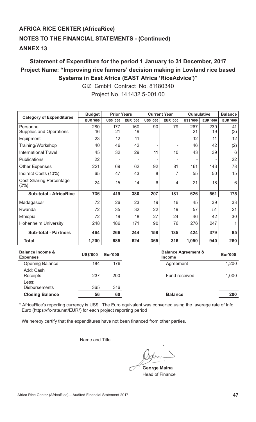# **Statement of Expenditure for the period 1 January to 31 December, 2017 Project Name: "Improving rice farmers' decision making in Lowland rice based Systems in East Africa (EAST Africa 'RiceAdvice')"**

|                                                | <b>Budget</b>   | <b>Prior Years</b> |                 |                  | <b>Current Year</b> | <b>Cumulative</b>              |                 | <b>Balance</b>  |
|------------------------------------------------|-----------------|--------------------|-----------------|------------------|---------------------|--------------------------------|-----------------|-----------------|
| <b>Category of Expenditures</b>                | <b>EUR '000</b> | <b>US\$ '000</b>   | <b>EUR '000</b> | <b>US\$ '000</b> | <b>EUR '000</b>     | <b>US\$ '000</b>               | <b>EUR '000</b> | <b>EUR '000</b> |
| Personnel<br><b>Supplies and Operations</b>    | 280<br>16       | 177<br>21          | 160<br>19       | 90               | 79                  | 267<br>21                      | 239<br>19       | 41<br>(3)       |
| Equipment                                      | 23              | 12                 | 11              |                  |                     | 12                             | 11              | 12              |
| Training/Workshop                              | 40              | 46                 | 42              |                  |                     | 46                             | 42              | (2)             |
| <b>International Travel</b>                    | 45              | 32                 | 29              | 11               | 10                  | 43                             | 39              | 6               |
| <b>Publications</b>                            | 22              |                    |                 |                  |                     |                                |                 | 22              |
| <b>Other Expenses</b>                          | 221             | 69                 | 62              | 92               | 81                  | 161                            | 143             | 78              |
| Indirect Costs (10%)                           | 65              | 47                 | 43              | 8                | 7                   | 55                             | 50              | 15              |
| <b>Cost Sharing Percentage</b><br>(2%)         | 24              | 15                 | 14              | 6                | 4                   | 21                             | 18              | 6               |
| <b>Sub-total - AfricaRice</b>                  | 736             | 419                | 380             | 207              | 181                 | 626                            | 561             | 175             |
| Madagascar                                     | 72              | 26                 | 23              | 19               | 16                  | 45                             | 39              | 33              |
| Rwanda                                         | 72              | 35                 | 32              | 22               | 19                  | 57                             | 51              | 21              |
| Ethiopia                                       | 72              | 19                 | 18              | 27               | 24                  | 46                             | 42              | 30              |
| <b>Hohenheim University</b>                    | 248             | 186                | 171             | 90               | 76                  | 276                            | 247             | 1               |
| <b>Sub-total - Partners</b>                    | 464             | 266                | 244             | 158              | 135                 | 424                            | 379             | 85              |
| <b>Total</b>                                   | 1,200           | 685                | 624             | 365              | 316                 | 1,050                          | 940             | 260             |
| <b>Balance Income &amp;</b><br><b>Expenses</b> | <b>US\$'000</b> | <b>Eur'000</b>     |                 |                  | <b>Income</b>       | <b>Balance Agreement &amp;</b> |                 | <b>Eur'000</b>  |

GiZ GmbH Contract No. 81180340 Project No. 14.1432.5-001.00

| <b>Balance Income &amp;</b><br><b>Expenses</b> | <b>US\$'000</b> | Eur'000 | <b>Balance Agreement &amp;</b><br><b>Income</b> | <b>Eur'000</b> |
|------------------------------------------------|-----------------|---------|-------------------------------------------------|----------------|
| <b>Opening Balance</b>                         | 184             | 176     | Agreement                                       | 1,200          |
| Add: Cash<br>Receipts                          | 237             | 200     | Fund received                                   | 1,000          |
| Less:<br><b>Disbursements</b>                  | 365             | 316     |                                                 |                |
| <b>Closing Balance</b>                         | 56              | 60      | <b>Balance</b>                                  | 200            |

\* AfricaRice's reporting currency is US\$. The Euro equivalent was converted using the average rate of Info Euro (https://fx-rate.net/EUR/) for each project reporting period

We hereby certify that the expenditures have not been financed from other parties.

Name and Title:

 **George Maina** Head of Finance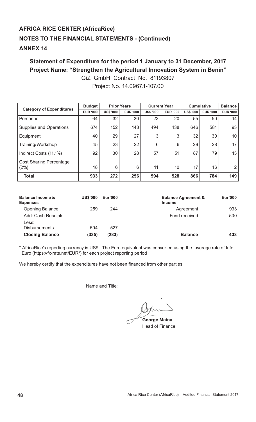# **ANNEX 14**

# **Statement of Expenditure for the period 1 January to 31 December, 2017 Project Name: "Strengthen the Agricultural Innovation System in Benin"**

GiZ GmbH Contract No. 81193807 Project No. 14.0967.1-107.00

| <b>Category of Expenditures</b>        | <b>Budget</b>   |                  | <b>Prior Years</b> | <b>Current Year</b> |                 | <b>Cumulative</b> |                 | <b>Balance</b>  |
|----------------------------------------|-----------------|------------------|--------------------|---------------------|-----------------|-------------------|-----------------|-----------------|
|                                        | <b>EUR '000</b> | <b>US\$ '000</b> | <b>EUR '000</b>    | <b>US\$ '000</b>    | <b>EUR '000</b> | <b>US\$ '000</b>  | <b>EUR '000</b> | <b>EUR '000</b> |
| Personnel                              | 64              | 32               | 30                 | 23                  | 20              | 55                | 50              | 14              |
| <b>Supplies and Operations</b>         | 674             | 152              | 143                | 494                 | 438             | 646               | 581             | 93              |
| Equipment                              | 40              | 29               | 27                 | 3                   | 3               | 32                | 30              | 10 <sup>1</sup> |
| Training/Workshop                      | 45              | 23               | 22                 | 6                   | 6               | 29                | 28              | 17 <sub>1</sub> |
| Indirect Costs (11.1%)                 | 92              | 30               | 28                 | 57                  | 51              | 87                | 79              | 13              |
| <b>Cost Sharing Percentage</b><br>(2%) | 18              | 6                | 6                  | 11                  | 10              | 17                | 16              | $\overline{2}$  |
| <b>Total</b>                           | 933             | 272              | 256                | 594                 | 528             | 866               | 784             | 149             |

| <b>Balance Income &amp;</b><br><b>Expenses</b> | <b>US\$'000</b> | Eur'000 | <b>Balance Agreement &amp;</b><br><b>Income</b> | Eur'000 |
|------------------------------------------------|-----------------|---------|-------------------------------------------------|---------|
| <b>Opening Balance</b>                         | 259             | 244     | Agreement                                       | 933     |
| Add: Cash Receipts                             | -               | ۰       | Fund received                                   | 500     |
| Less:                                          |                 |         |                                                 |         |
| <b>Disbursements</b>                           | 594             | 527     |                                                 |         |
| <b>Closing Balance</b>                         | (335)           | (283)   | <b>Balance</b>                                  | 433     |

\* AfricaRice's reporting currency is US\$. The Euro equivalent was converted using the average rate of Info Euro (https://fx-rate.net/EUR/) for each project reporting period

We hereby certify that the expenditures have not been financed from other parties.

**George Maina**

Head of Finance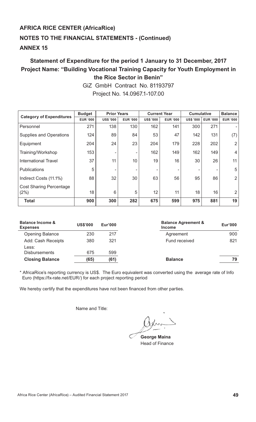# **Statement of Expenditure for the period 1 January to 31 December, 2017 Project Name: "Building Vocational Training Capacity for Youth Employment in the Rice Sector in Benin"**

| <b>Category of Expenditures</b>        | <b>Budget</b>   | <b>Prior Years</b> |                 |                  | <b>Current Year</b> | <b>Cumulative</b> |                 | <b>Balance</b>  |
|----------------------------------------|-----------------|--------------------|-----------------|------------------|---------------------|-------------------|-----------------|-----------------|
|                                        | <b>EUR '000</b> | <b>US\$ '000</b>   | <b>EUR '000</b> | <b>US\$ '000</b> | <b>EUR '000</b>     | <b>US\$ '000</b>  | <b>EUR '000</b> | <b>EUR '000</b> |
| Personnel                              | 271             | 138                | 130             | 162              | 141                 | 300               | 271             |                 |
| <b>Supplies and Operations</b>         | 124             | 89                 | 84              | 53               | 47                  | 142               | 131             | (7)             |
| Equipment                              | 204             | 24                 | 23              | 204              | 179                 | 228               | 202             | $\overline{2}$  |
| Training/Workshop                      | 153             |                    | ۰               | 162              | 149                 | 162               | 149             | $\overline{4}$  |
| International Travel                   | 37              | 11                 | 10              | 19               | 16                  | 30                | 26              | 11              |
| <b>Publications</b>                    | 5               |                    | ۰               |                  | ۰                   |                   |                 | 5               |
| Indirect Costs (11.1%)                 | 88              | 32                 | 30              | 63               | 56                  | 95                | 86              | $\overline{2}$  |
| <b>Cost Sharing Percentage</b><br>(2%) | 18              | 6                  | 5               | 12               | 11                  | 18                | 16              | $\overline{2}$  |
| <b>Total</b>                           | 900             | 300                | 282             | 675              | 599                 | 975               | 881             | 19              |

GiZ GmbH Contract No. 81193797 Project No. 14.0967.1-107.00

| <b>Balance Income &amp;</b><br><b>Expenses</b> | <b>US\$'000</b> | Eur'000 | <b>Balance Agreement &amp;</b><br><b>Income</b> | Eur'000 |
|------------------------------------------------|-----------------|---------|-------------------------------------------------|---------|
| <b>Opening Balance</b>                         | 230             | 217     | Agreement                                       | 900     |
| Add: Cash Receipts                             | 380             | 321     | Fund received                                   | 821     |
| Less:                                          |                 |         |                                                 |         |
| <b>Disbursements</b>                           | 675             | 599     |                                                 |         |
| <b>Closing Balance</b>                         | (65)            | (61)    | <b>Balance</b>                                  | 79      |

\* AfricaRice's reporting currency is US\$. The Euro equivalent was converted using the average rate of Info Euro (https://fx-rate.net/EUR/) for each project reporting period

We hereby certify that the expenditures have not been financed from other parties.

 **George Maina** Head of Finance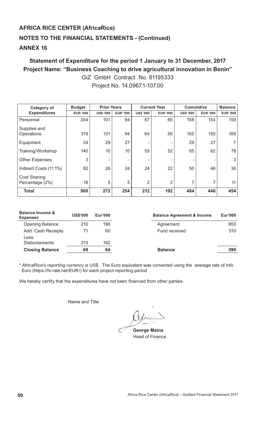# **Statement of Expenditure for the period 1 January to 31 December, 2017 Project Name: "Business Coaching to drive agricultural innovation in Benin"**  GiZ GmbH Contract No. 81195333

| <b>Category of</b>                     | <b>Budget</b>   | <b>Prior Years</b> |                 |                  | <b>Current Year</b> | <b>Cumulative</b> |                 | <b>Balance</b>  |
|----------------------------------------|-----------------|--------------------|-----------------|------------------|---------------------|-------------------|-----------------|-----------------|
| <b>Expenditures</b>                    | <b>EUR '000</b> | <b>US\$ '000</b>   | <b>EUR '000</b> | <b>US\$ '000</b> | <b>EUR '000</b>     | <b>US\$ '000</b>  | <b>EUR '000</b> | <b>EUR '000</b> |
| Personnel                              | 304             | 101                | 94              | 67               | 60                  | 168               | 154             | 150             |
| Supplies and<br>Operations             | 319             | 101                | 94              | 64               | 56                  | 165               | 150             | 169             |
| Equipment                              | 34              | 29                 | 27              |                  | ٠                   | 29                | 27              | $\overline{7}$  |
| Training/Workshop                      | 140             | 10                 | 10              | 55               | 52                  | 65                | 62              | 78              |
| <b>Other Expenses</b>                  | 3               |                    | ۰               | ۰                | ٠                   |                   |                 | 3               |
| Indirect Costs (11.1%)                 | 82              | 26                 | 24              | 24               | 22                  | 50                | 46              | 36              |
| <b>Cost Sharing</b><br>Percentage (2%) | 18              | 5                  | 5               | $\overline{2}$   | $\overline{2}$      | $\overline{7}$    | $\overline{ }$  | 11              |
| <b>Total</b>                           | 900             | 272                | 254             | 212              | 192                 | 484               | 446             | 454             |

Project No. 14.0967.1-107.00

| <b>Balance Income &amp;</b><br><b>Expenses</b> | <b>US\$'000</b> | Eur'000 | <b>Balance Agreement &amp; Income</b> | Eur'000 |
|------------------------------------------------|-----------------|---------|---------------------------------------|---------|
| <b>Opening Balance</b>                         | 210             | 196     | Agreement                             | 900     |
| Add: Cash Receipts<br>Less:                    | 71              | 60      | Fund received                         | 510     |
| <b>Disbursements</b>                           | 213             | 192     |                                       |         |
| <b>Closing Balance</b>                         | 68              | 64      | <b>Balance</b>                        | 390     |

\* AfricaRice's reporting currency is US\$. The Euro equivalent was converted using the average rate of Info Euro (https://fx-rate.net/EUR/) for each project reporting period

We hereby certify that the expenditures have not been financed from other parties.

 **George Maina** Head of Finance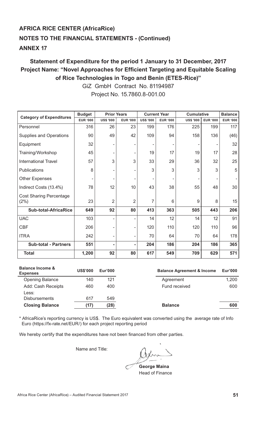# **Statement of Expenditure for the period 1 January to 31 December, 2017**  Project Name: "Novel Approaches for Efficient Targeting and Equitable Scaling **of Rice Technologies in Togo and Benin (ETES-Rice)"**

|                                        | <b>Budget</b>   | <b>Prior Years</b>       |                 |                  | <b>Current Year</b> |                  | <b>Cumulative</b> |                 |
|----------------------------------------|-----------------|--------------------------|-----------------|------------------|---------------------|------------------|-------------------|-----------------|
| <b>Category of Expenditures</b>        | <b>EUR '000</b> | <b>US\$ '000</b>         | <b>EUR '000</b> | <b>US\$ '000</b> | <b>EUR '000</b>     | <b>US\$ '000</b> | <b>EUR '000</b>   | <b>EUR '000</b> |
| Personnel                              | 316             | 26                       | 23              | 199              | 176                 | 225              | 199               | 117             |
| <b>Supplies and Operations</b>         | 90              | 49                       | 42              | 109              | 94                  | 158              | 136               | (46)            |
| Equipment                              | 32              |                          |                 |                  |                     |                  |                   | 32              |
| Training/Workshop                      | 45              |                          |                 | 19               | 17                  | 19               | 17                | 28              |
| <b>International Travel</b>            | 57              | 3                        | 3               | 33               | 29                  | 36               | 32                | 25              |
| Publications                           | 8               |                          |                 | 3                | 3                   | 3                | 3                 | 5               |
| <b>Other Expenses</b>                  |                 |                          |                 |                  |                     |                  |                   |                 |
| Indirect Costs (13.4%)                 | 78              | 12                       | 10              | 43               | 38                  | 55               | 48                | 30              |
| <b>Cost Sharing Percentage</b><br>(2%) | 23              | $\overline{2}$           | $\overline{2}$  | 7                | 6                   | 9                | 8                 | 15              |
| <b>Sub-total-AfricaRice</b>            | 649             | 92                       | 80              | 413              | 363                 | 505              | 443               | 206             |
| <b>UAC</b>                             | 103             | $\overline{\phantom{a}}$ |                 | 14               | 12                  | 14               | 12                | 91              |
| <b>CBF</b>                             | 206             | ۰                        |                 | 120              | 110                 | 120              | 110               | 96              |
| <b>ITRA</b>                            | 242             | ۰                        |                 | 70               | 64                  | 70               | 64                | 178             |
| <b>Sub-total - Partners</b>            | 551             | ٠                        |                 | 204              | 186                 | 204              | 186               | 365             |
| <b>Total</b>                           | 1,200           | 92                       | 80              | 617              | 549                 | 709              | 629               | 571             |

GiZ GmbH Contract No. 81194987 Project No. 15.7860.8-001.00

| <b>Balance Income &amp;</b><br><b>Expenses</b> | <b>US\$'000</b> | Eur'000 | <b>Balance Agreement &amp; Income</b> | Eur'000 |
|------------------------------------------------|-----------------|---------|---------------------------------------|---------|
| <b>Opening Balance</b>                         | 140             | 121     | Agreement                             | 1,200   |
| Add: Cash Receipts                             | 460             | 400     | Fund received                         | 600     |
| Less:<br><b>Disbursements</b>                  | 617             | 549     |                                       |         |
| <b>Closing Balance</b>                         | (17)            | (28)    | <b>Balance</b>                        | 600     |

\* AfricaRice's reporting currency is US\$. The Euro equivalent was converted using the average rate of Info Euro (https://fx-rate.net/EUR/) for each project reporting period

We hereby certify that the expenditures have not been financed from other parties.

 **George Maina** Head of Finance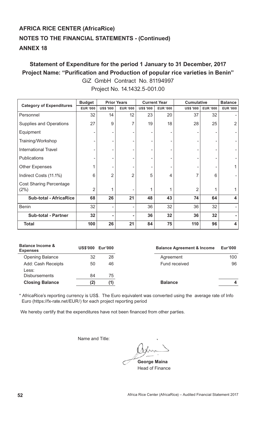# **Statement of Expenditure for the period 1 January to 31 December, 2017**  Project Name: "Purification and Production of popular rice varieties in Benin" GiZ GmbH Contract No. 81194997 Project No. 14.1432.5-001.00

|                                 | <b>Budget</b>   |                  | <b>Prior Years</b> |                  | <b>Current Year</b> |                  | <b>Cumulative</b> |                         |
|---------------------------------|-----------------|------------------|--------------------|------------------|---------------------|------------------|-------------------|-------------------------|
| <b>Category of Expenditures</b> | <b>EUR '000</b> | <b>US\$ '000</b> | <b>EUR '000</b>    | <b>US\$ '000</b> | <b>EUR '000</b>     | <b>US\$ '000</b> | <b>EUR '000</b>   | <b>EUR '000</b>         |
| Personnel                       | 32              | 14               | 12                 | 23               | 20                  | 37               | 32                |                         |
| <b>Supplies and Operations</b>  | 27              | 9                | 7                  | 19               | 18                  | 28               | 25                | $\overline{2}$          |
| Equipment                       |                 |                  |                    |                  |                     |                  |                   |                         |
| Training/Workshop               |                 |                  |                    |                  |                     |                  |                   |                         |
| <b>International Travel</b>     |                 |                  |                    |                  |                     |                  |                   |                         |
| <b>Publications</b>             |                 |                  |                    |                  |                     |                  |                   |                         |
| <b>Other Expenses</b>           |                 | -                |                    |                  |                     |                  |                   | 1                       |
| Indirect Costs (11.1%)          | 6               | $\overline{2}$   | 2                  | 5                | 4                   |                  | 6                 |                         |
| <b>Cost Sharing Percentage</b>  |                 |                  |                    |                  |                     |                  |                   |                         |
| (2%)                            | $\overline{2}$  | 1                |                    | 1                |                     | $\overline{2}$   | 1                 | 1                       |
| <b>Sub-total - AfricaRice</b>   | 68              | 26               | 21                 | 48               | 43                  | 74               | 64                | 4                       |
| <b>Benin</b>                    | 32              |                  |                    | 36               | 32                  | 36               | 32                |                         |
| <b>Sub-total - Partner</b>      | 32              |                  |                    | 36               | 32                  | 36               | 32                |                         |
| <b>Total</b>                    | 100             | 26               | 21                 | 84               | 75                  | 110              | 96                | $\overline{\mathbf{4}}$ |

| <b>Balance Income &amp;</b><br><b>Expenses</b> | <b>US\$'000</b> | <b>Eur'000</b> | <b>Balance Agreement &amp; Income</b> | <b>Eur'000</b> |
|------------------------------------------------|-----------------|----------------|---------------------------------------|----------------|
| <b>Opening Balance</b>                         | 32              | 28             | Agreement                             | 100            |
| Add: Cash Receipts<br>Less:                    | 50              | 46             | Fund received                         | 96             |
| <b>Disbursements</b>                           | 84              | 75             |                                       |                |
| <b>Closing Balance</b>                         |                 |                | <b>Balance</b>                        | 4              |

\* AfricaRice's reporting currency is US\$. The Euro equivalent was converted using the average rate of Info Euro (https://fx-rate.net/EUR/) for each project reporting period

We hereby certify that the expenditures have not been financed from other parties.

 **George Maina** Head of Finance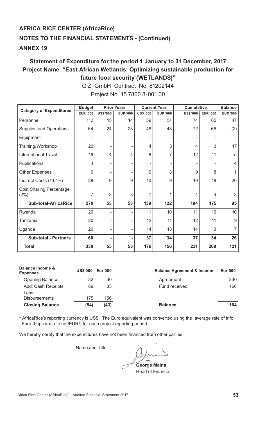# **Statement of Expenditure for the period 1 January to 31 December, 2017 Project Name: "East African Wetlands: Optimizing sustainable production for future food security (WETLANDS)"**

GiZ GmbH Contract No. 81202144 Project No. 15.7860.8-001.00

|                                        | <b>Budget</b>   |                  | <b>Prior Years</b> |                  | <b>Current Year</b> | <b>Cumulative</b> |                 | <b>Balance</b>  |
|----------------------------------------|-----------------|------------------|--------------------|------------------|---------------------|-------------------|-----------------|-----------------|
| <b>Category of Expenditures</b>        | <b>EUR '000</b> | <b>US\$ '000</b> | <b>EUR '000</b>    | <b>US\$ '000</b> | <b>EUR '000</b>     | <b>US\$ '000</b>  | <b>EUR '000</b> | <b>EUR '000</b> |
| Personnel                              | 112             | 15               | 14                 | 59               | 51                  | 74                | 65              | 47              |
| <b>Supplies and Operations</b>         | 64              | 24               | 23                 | 48               | 43                  | 72                | 66              | (2)             |
| Equipment                              |                 |                  |                    |                  |                     |                   |                 |                 |
| Training/Workshop                      | 20              |                  |                    | 4                | 3                   | 4                 | 3               | 17              |
| <b>International Travel</b>            | 16              | 4                | 4                  | 8                | 7                   | 12                | 11              | 5               |
| Publications                           | 4               |                  |                    |                  |                     |                   |                 | $\overline{4}$  |
| <b>Other Expenses</b>                  | 9               |                  |                    | 9                | 8                   | 9                 | 8               |                 |
| Indirect Costs (13.4%)                 | 38              | 9                | 9                  | 10               | 9                   | 19                | 18              | 20              |
| <b>Cost Sharing Percentage</b><br>(2%) | 7               | 3                | 3                  |                  | 1                   | 4                 | 4               | 3               |
| <b>Sub-total-AfricaRice</b>            | 270             | 55               | 53                 | 139              | 122                 | 194               | 175             | 95              |
| Rwanda                                 | 20              |                  |                    | 11               | 10                  | 11                | 10              | 10              |
| Tanzania                               | 20              |                  |                    | 12               | 11                  | 12                | 11              | $9\,$           |
| Uganda                                 | 20              |                  |                    | 14               | 13                  | 14                | 13              | $\overline{7}$  |
| <b>Sub-total - Partners</b>            | 60              |                  |                    | 37               | 34                  | 37                | 34              | 26              |
| <b>Total</b>                           | 330             | 55               | 53                 | 176              | 156                 | 231               | 209             | 121             |

|      | <b>Eur'000</b> | <b>Balance Agreement &amp; Income</b> | Eur'000 |
|------|----------------|---------------------------------------|---------|
| 32   | 30             | Agreement                             | 330     |
| 89   | 83             | Fund received                         | 166     |
| 175  | 156            |                                       |         |
| (54) | (43)           | <b>Balance</b>                        | 164     |
|      |                | <b>US\$'000</b>                       |         |

\* AfricaRice's reporting currency is US\$. The Euro equivalent was converted using the average rate of Info Euro (https://fx-rate.net/EUR/) for each project reporting period

We hereby certify that the expenditures have not been financed from other parties.

**George Maina**

Head of Finance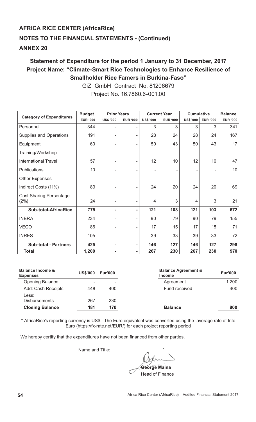# **Statement of Expenditure for the period 1 January to 31 December, 2017 Project Name: "Climate-Smart Rice Technologies to Enhance Resilience of Smallholder Rice Famers in Burkina-Faso"**

GiZ GmbH Contract No. 81206679 Project No. 16.7860.6-001.00

|                                        | <b>Budget</b>   | <b>Prior Years</b> |                 |                  | <b>Current Year</b> | <b>Cumulative</b> | <b>Balance</b>  |                 |
|----------------------------------------|-----------------|--------------------|-----------------|------------------|---------------------|-------------------|-----------------|-----------------|
| <b>Category of Expenditures</b>        | <b>EUR '000</b> | <b>US\$ '000</b>   | <b>EUR '000</b> | <b>US\$ '000</b> | <b>EUR '000</b>     | <b>US\$ '000</b>  | <b>EUR '000</b> | <b>EUR '000</b> |
| Personnel                              | 344             |                    |                 | 3                | 3                   | 3                 | 3               | 341             |
| <b>Supplies and Operations</b>         | 191             |                    | ۰               | 28               | 24                  | 28                | 24              | 167             |
| Equipment                              | 60              |                    | ۰               | 50               | 43                  | 50                | 43              | 17              |
| Training/Workshop                      |                 |                    |                 |                  |                     |                   |                 |                 |
| <b>International Travel</b>            | 57              |                    | ۰               | 12               | 10                  | 12                | 10              | 47              |
| Publications                           | 10              |                    |                 | ۰                |                     |                   |                 | 10              |
| <b>Other Expenses</b>                  |                 |                    |                 |                  |                     |                   |                 |                 |
| Indirect Costs (11%)                   | 89              |                    |                 | 24               | 20                  | 24                | 20              | 69              |
| <b>Cost Sharing Percentage</b><br>(2%) | 24              |                    | ۰               | $\overline{4}$   | 3                   | 4                 | 3               | 21              |
| <b>Sub-total-AfricaRice</b>            | 775             |                    | ۰               | 121              | 103                 | 121               | 103             | 672             |
| <b>INERA</b>                           | 234             |                    | ۰               | 90               | 79                  | 90                | 79              | 155             |
| <b>VECO</b>                            | 86              |                    |                 | 17               | 15                  | 17                | 15              | 71              |
| <b>INRES</b>                           | 105             |                    | ۰               | 39               | 33                  | 39                | 33              | 72              |
| <b>Sub-total - Partners</b>            | 425             | ٠                  | ۰               | 146              | 127                 | 146               | 127             | 298             |
| <b>Total</b>                           | 1,200           |                    | ۰               | 267              | 230                 | 267               | 230             | 970             |

| <b>Balance Income &amp;</b><br><b>Expenses</b> | <b>US\$'000</b> | Eur'000 | <b>Balance Agreement &amp;</b><br><b>Income</b> | Eur'000 |
|------------------------------------------------|-----------------|---------|-------------------------------------------------|---------|
| <b>Opening Balance</b>                         |                 | ۰       | Agreement                                       | 1,200   |
| Add: Cash Receipts                             | 448             | 400     | Fund received                                   | 400     |
| Less:                                          |                 |         |                                                 |         |
| <b>Disbursements</b>                           | 267             | 230     |                                                 |         |
| <b>Closing Balance</b>                         | 181             | 170     | <b>Balance</b>                                  | 800     |
|                                                |                 |         |                                                 |         |

\* AfricaRice's reporting currency is US\$. The Euro equivalent was converted using the average rate of Info Euro (https://fx-rate.net/EUR/) for each project reporting period

We hereby certify that the expenditures have not been financed from other parties.

**George Maina**

Head of Finance